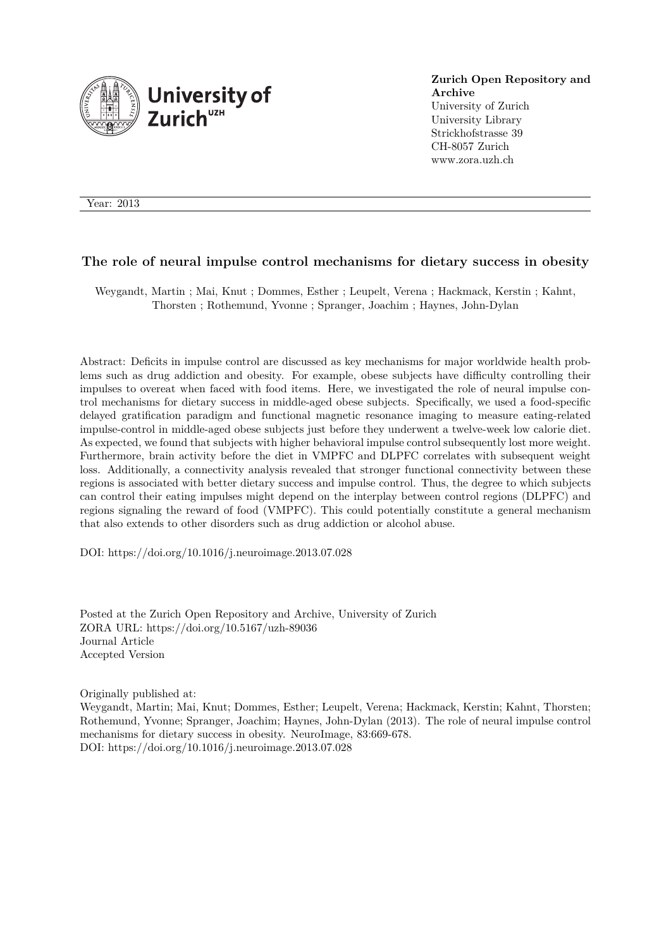

**Zurich Open Repository and Archive** University of Zurich University Library Strickhofstrasse 39 CH-8057 Zurich

www.zora.uzh.ch

Year: 2013

#### **The role of neural impulse control mechanisms for dietary success in obesity**

Weygandt, Martin ; Mai, Knut ; Dommes, Esther ; Leupelt, Verena ; Hackmack, Kerstin ; Kahnt, Thorsten ; Rothemund, Yvonne ; Spranger, Joachim ; Haynes, John-Dylan

Abstract: Deficits in impulse control are discussed as key mechanisms for major worldwide health problems such as drug addiction and obesity. For example, obese subjects have difficulty controlling their impulses to overeat when faced with food items. Here, we investigated the role of neural impulse control mechanisms for dietary success in middle-aged obese subjects. Specifically, we used a food-specific delayed gratification paradigm and functional magnetic resonance imaging to measure eating-related impulse-control in middle-aged obese subjects just before they underwent a twelve-week low calorie diet. As expected, we found that subjects with higher behavioral impulse control subsequently lost more weight. Furthermore, brain activity before the diet in VMPFC and DLPFC correlates with subsequent weight loss. Additionally, a connectivity analysis revealed that stronger functional connectivity between these regions is associated with better dietary success and impulse control. Thus, the degree to which subjects can control their eating impulses might depend on the interplay between control regions (DLPFC) and regions signaling the reward of food (VMPFC). This could potentially constitute a general mechanism that also extends to other disorders such as drug addiction or alcohol abuse.

DOI: https://doi.org/10.1016/j.neuroimage.2013.07.028

Posted at the Zurich Open Repository and Archive, University of Zurich ZORA URL: https://doi.org/10.5167/uzh-89036 Journal Article Accepted Version

Originally published at:

Weygandt, Martin; Mai, Knut; Dommes, Esther; Leupelt, Verena; Hackmack, Kerstin; Kahnt, Thorsten; Rothemund, Yvonne; Spranger, Joachim; Haynes, John-Dylan (2013). The role of neural impulse control mechanisms for dietary success in obesity. NeuroImage, 83:669-678. DOI: https://doi.org/10.1016/j.neuroimage.2013.07.028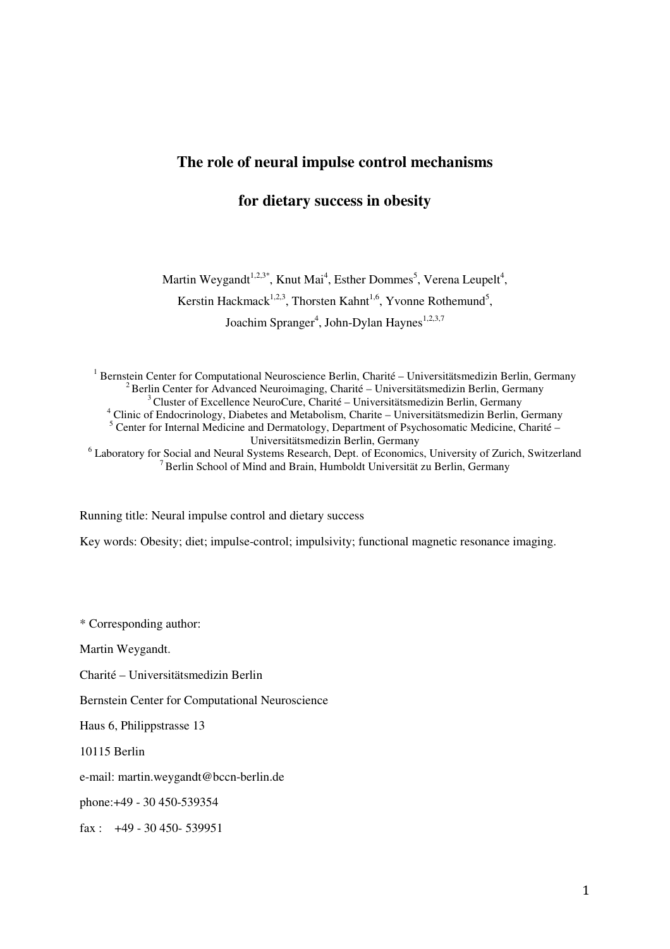# **The role of neural impulse control mechanisms**

# **for dietary success in obesity**

Martin Weygandt<sup>1,2,3\*</sup>, Knut Mai<sup>4</sup>, Esther Dommes<sup>5</sup>, Verena Leupelt<sup>4</sup>, Kerstin Hackmack<sup>1,2,3</sup>, Thorsten Kahnt<sup>1,6</sup>, Yvonne Rothemund<sup>5</sup>, Joachim Spranger<sup>4</sup>, John-Dylan Haynes<sup>1,2,3,7</sup>

<sup>1</sup> Bernstein Center for Computational Neuroscience Berlin, Charité – Universitätsmedizin Berlin, Germany  $2$ Berlin Center for Advanced Neuroimaging, Charité – Universitätsmedizin Berlin, Germany  $3^3$ Cluster of Excellence NeuroCure, Charité – Universitätsmedizin Berlin, Germany <sup>4</sup> Clinic of Endocrinology, Diabetes and Metabolism, Charite – Universitätsmedizin Berlin, Germany <sup>5</sup> Center for Internal Medicine and Dermatology, Department of Psychosomatic Medicine, Charité – Universitätsmedizin Berlin, Germany <sup>6</sup> Laboratory for Social and Neural Systems Research, Dept. of Economics, University of Zurich, Switzerland <sup>7</sup>Berlin School of Mind and Brain, Humboldt Universität zu Berlin, Germany

Running title: Neural impulse control and dietary success

Key words: Obesity; diet; impulse-control; impulsivity; functional magnetic resonance imaging.

\* Corresponding author:

Martin Weygandt.

Charité – Universitätsmedizin Berlin

Bernstein Center for Computational Neuroscience

Haus 6, Philippstrasse 13

10115 Berlin

e-mail: martin.weygandt@bccn-berlin.de

phone:+49 - 30 450-539354

fax :  $+49 - 30450 - 539951$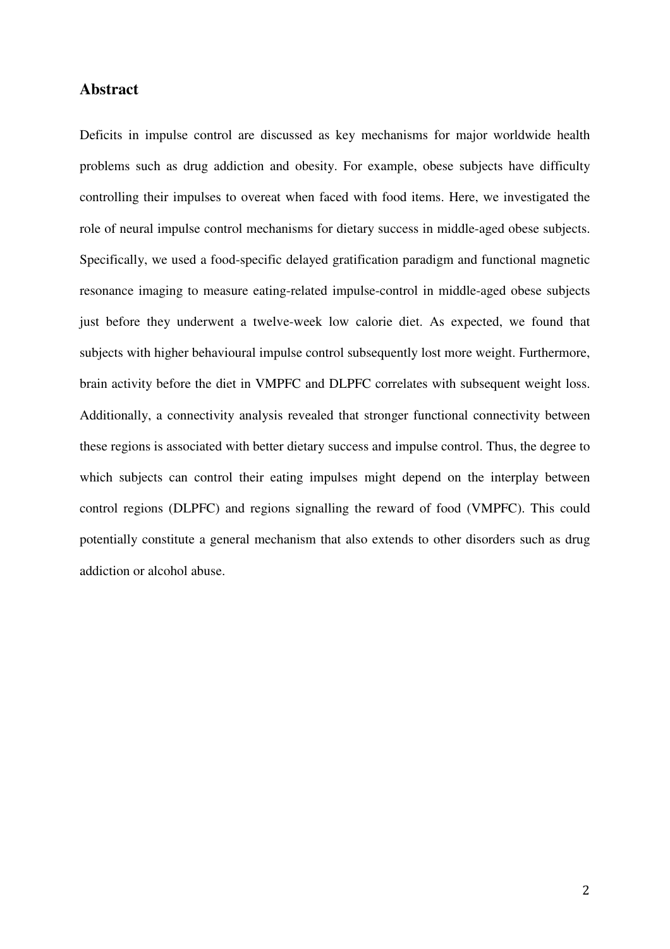# **Abstract**

Deficits in impulse control are discussed as key mechanisms for major worldwide health problems such as drug addiction and obesity. For example, obese subjects have difficulty controlling their impulses to overeat when faced with food items. Here, we investigated the role of neural impulse control mechanisms for dietary success in middle-aged obese subjects. Specifically, we used a food-specific delayed gratification paradigm and functional magnetic resonance imaging to measure eating-related impulse-control in middle-aged obese subjects just before they underwent a twelve-week low calorie diet. As expected, we found that subjects with higher behavioural impulse control subsequently lost more weight. Furthermore, brain activity before the diet in VMPFC and DLPFC correlates with subsequent weight loss. Additionally, a connectivity analysis revealed that stronger functional connectivity between these regions is associated with better dietary success and impulse control. Thus, the degree to which subjects can control their eating impulses might depend on the interplay between control regions (DLPFC) and regions signalling the reward of food (VMPFC). This could potentially constitute a general mechanism that also extends to other disorders such as drug addiction or alcohol abuse.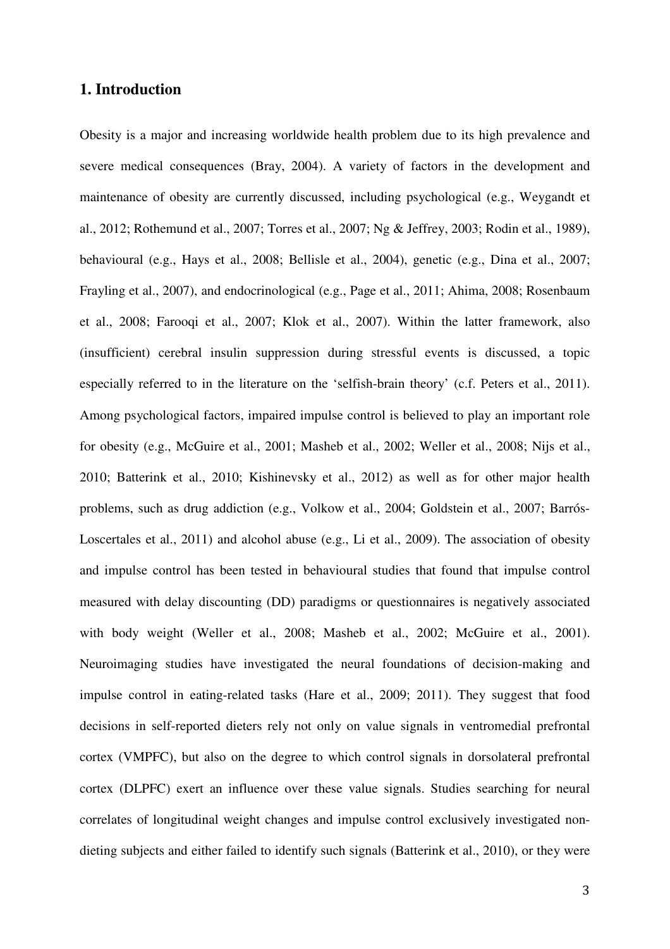# **1. Introduction**

Obesity is a major and increasing worldwide health problem due to its high prevalence and severe medical consequences (Bray, 2004). A variety of factors in the development and maintenance of obesity are currently discussed, including psychological (e.g., Weygandt et al., 2012; Rothemund et al., 2007; Torres et al., 2007; Ng & Jeffrey, 2003; Rodin et al., 1989), behavioural (e.g., Hays et al., 2008; Bellisle et al., 2004), genetic (e.g., Dina et al., 2007; Frayling et al., 2007), and endocrinological (e.g., Page et al., 2011; Ahima, 2008; Rosenbaum et al., 2008; Farooqi et al., 2007; Klok et al., 2007). Within the latter framework, also (insufficient) cerebral insulin suppression during stressful events is discussed, a topic especially referred to in the literature on the 'selfish-brain theory' (c.f. Peters et al., 2011). Among psychological factors, impaired impulse control is believed to play an important role for obesity (e.g., McGuire et al., 2001; Masheb et al., 2002; Weller et al., 2008; Nijs et al., 2010; Batterink et al., 2010; Kishinevsky et al., 2012) as well as for other major health problems, such as drug addiction (e.g., Volkow et al., 2004; Goldstein et al., 2007; Barrós-Loscertales et al., 2011) and alcohol abuse (e.g., Li et al., 2009). The association of obesity and impulse control has been tested in behavioural studies that found that impulse control measured with delay discounting (DD) paradigms or questionnaires is negatively associated with body weight (Weller et al., 2008; Masheb et al., 2002; McGuire et al., 2001). Neuroimaging studies have investigated the neural foundations of decision-making and impulse control in eating-related tasks (Hare et al., 2009; 2011). They suggest that food decisions in self-reported dieters rely not only on value signals in ventromedial prefrontal cortex (VMPFC), but also on the degree to which control signals in dorsolateral prefrontal cortex (DLPFC) exert an influence over these value signals. Studies searching for neural correlates of longitudinal weight changes and impulse control exclusively investigated nondieting subjects and either failed to identify such signals (Batterink et al., 2010), or they were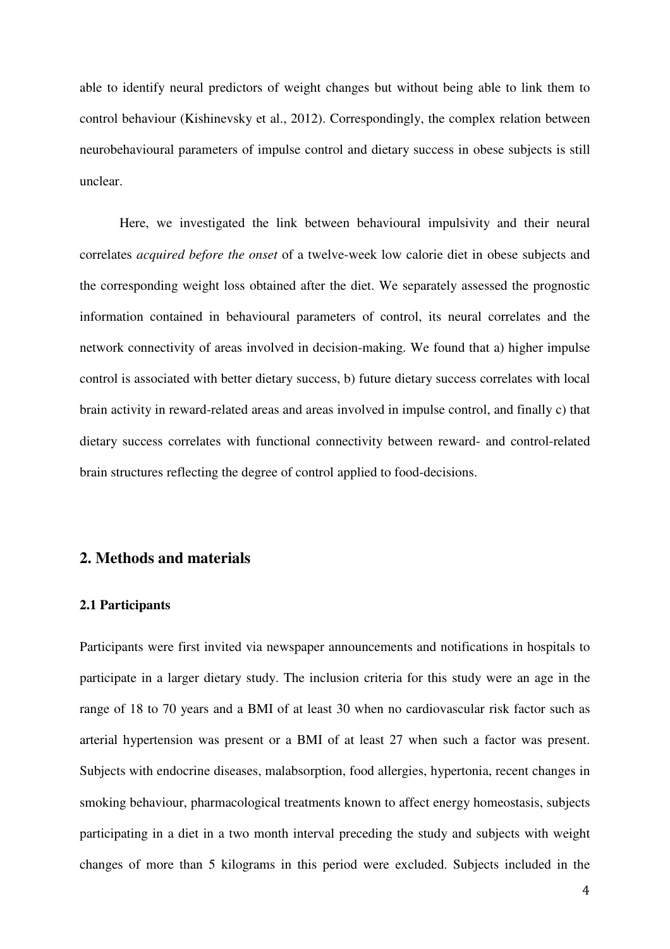able to identify neural predictors of weight changes but without being able to link them to control behaviour (Kishinevsky et al., 2012). Correspondingly, the complex relation between neurobehavioural parameters of impulse control and dietary success in obese subjects is still unclear.

Here, we investigated the link between behavioural impulsivity and their neural correlates *acquired before the onset* of a twelve-week low calorie diet in obese subjects and the corresponding weight loss obtained after the diet. We separately assessed the prognostic information contained in behavioural parameters of control, its neural correlates and the network connectivity of areas involved in decision-making. We found that a) higher impulse control is associated with better dietary success, b) future dietary success correlates with local brain activity in reward-related areas and areas involved in impulse control, and finally c) that dietary success correlates with functional connectivity between reward- and control-related brain structures reflecting the degree of control applied to food-decisions.

## **2. Methods and materials**

### **2.1 Participants**

Participants were first invited via newspaper announcements and notifications in hospitals to participate in a larger dietary study. The inclusion criteria for this study were an age in the range of 18 to 70 years and a BMI of at least 30 when no cardiovascular risk factor such as arterial hypertension was present or a BMI of at least 27 when such a factor was present. Subjects with endocrine diseases, malabsorption, food allergies, hypertonia, recent changes in smoking behaviour, pharmacological treatments known to affect energy homeostasis, subjects participating in a diet in a two month interval preceding the study and subjects with weight changes of more than 5 kilograms in this period were excluded. Subjects included in the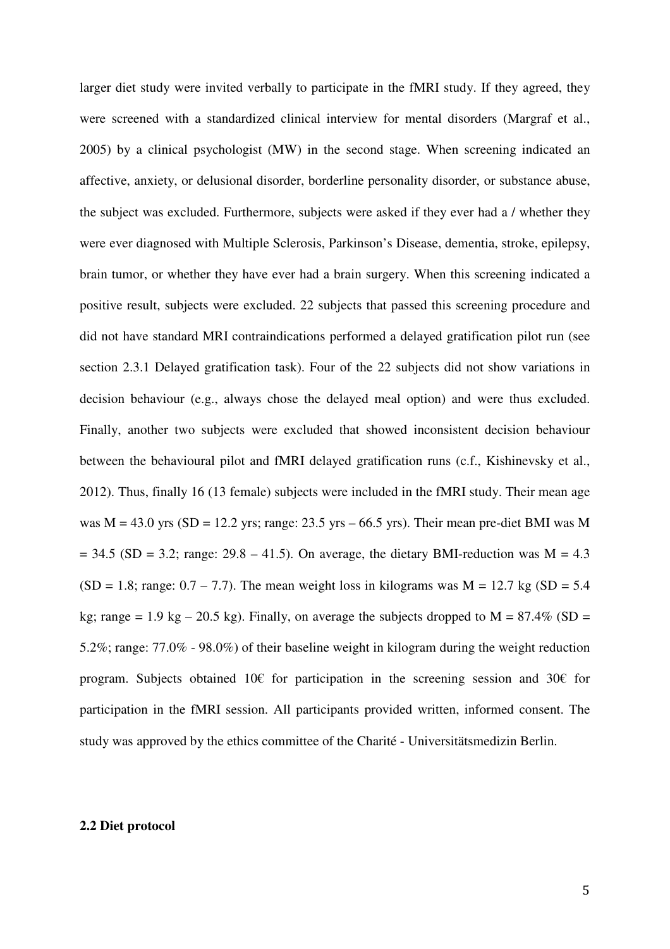larger diet study were invited verbally to participate in the fMRI study. If they agreed, they were screened with a standardized clinical interview for mental disorders (Margraf et al., 2005) by a clinical psychologist (MW) in the second stage. When screening indicated an affective, anxiety, or delusional disorder, borderline personality disorder, or substance abuse, the subject was excluded. Furthermore, subjects were asked if they ever had a / whether they were ever diagnosed with Multiple Sclerosis, Parkinson's Disease, dementia, stroke, epilepsy, brain tumor, or whether they have ever had a brain surgery. When this screening indicated a positive result, subjects were excluded. 22 subjects that passed this screening procedure and did not have standard MRI contraindications performed a delayed gratification pilot run (see section 2.3.1 Delayed gratification task). Four of the 22 subjects did not show variations in decision behaviour (e.g., always chose the delayed meal option) and were thus excluded. Finally, another two subjects were excluded that showed inconsistent decision behaviour between the behavioural pilot and fMRI delayed gratification runs (c.f., Kishinevsky et al., 2012). Thus, finally 16 (13 female) subjects were included in the fMRI study. Their mean age was  $M = 43.0$  yrs (SD = 12.2 yrs; range: 23.5 yrs – 66.5 yrs). Their mean pre-diet BMI was M  $= 34.5$  (SD = 3.2; range: 29.8 – 41.5). On average, the dietary BMI-reduction was M = 4.3  $(SD = 1.8; \text{ range: } 0.7 - 7.7)$ . The mean weight loss in kilograms was  $M = 12.7$  kg  $(SD = 5.4)$ kg; range = 1.9 kg – 20.5 kg). Finally, on average the subjects dropped to  $M = 87.4\%$  (SD = 5.2%; range: 77.0% - 98.0%) of their baseline weight in kilogram during the weight reduction program. Subjects obtained 10€ for participation in the screening session and 30€ for participation in the fMRI session. All participants provided written, informed consent. The study was approved by the ethics committee of the Charité - Universitätsmedizin Berlin.

#### **2.2 Diet protocol**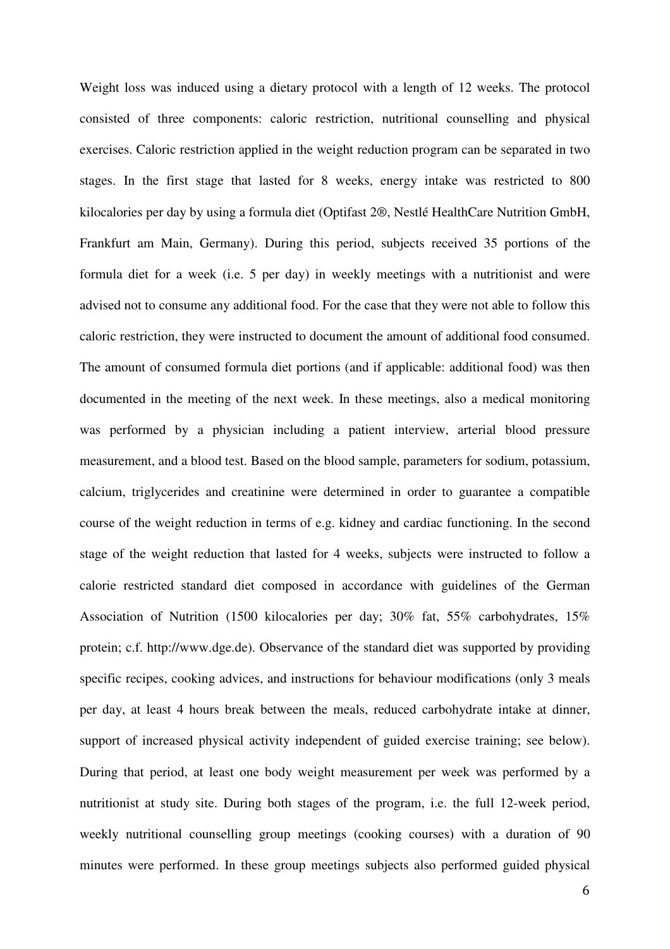Weight loss was induced using a dietary protocol with a length of 12 weeks. The protocol consisted of three components: caloric restriction, nutritional counselling and physical exercises. Caloric restriction applied in the weight reduction program can be separated in two stages. In the first stage that lasted for 8 weeks, energy intake was restricted to 800 kilocalories per day by using a formula diet (Optifast 2®, Nestlé HealthCare Nutrition GmbH, Frankfurt am Main, Germany). During this period, subjects received 35 portions of the formula diet for a week (i.e. 5 per day) in weekly meetings with a nutritionist and were advised not to consume any additional food. For the case that they were not able to follow this caloric restriction, they were instructed to document the amount of additional food consumed. The amount of consumed formula diet portions (and if applicable: additional food) was then documented in the meeting of the next week. In these meetings, also a medical monitoring was performed by a physician including a patient interview, arterial blood pressure measurement, and a blood test. Based on the blood sample, parameters for sodium, potassium, calcium, triglycerides and creatinine were determined in order to guarantee a compatible course of the weight reduction in terms of e.g. kidney and cardiac functioning. In the second stage of the weight reduction that lasted for 4 weeks, subjects were instructed to follow a calorie restricted standard diet composed in accordance with guidelines of the German Association of Nutrition (1500 kilocalories per day; 30% fat, 55% carbohydrates, 15% protein; c.f. http://www.dge.de). Observance of the standard diet was supported by providing specific recipes, cooking advices, and instructions for behaviour modifications (only 3 meals per day, at least 4 hours break between the meals, reduced carbohydrate intake at dinner, support of increased physical activity independent of guided exercise training; see below). During that period, at least one body weight measurement per week was performed by a nutritionist at study site. During both stages of the program, i.e. the full 12-week period, weekly nutritional counselling group meetings (cooking courses) with a duration of 90 minutes were performed. In these group meetings subjects also performed guided physical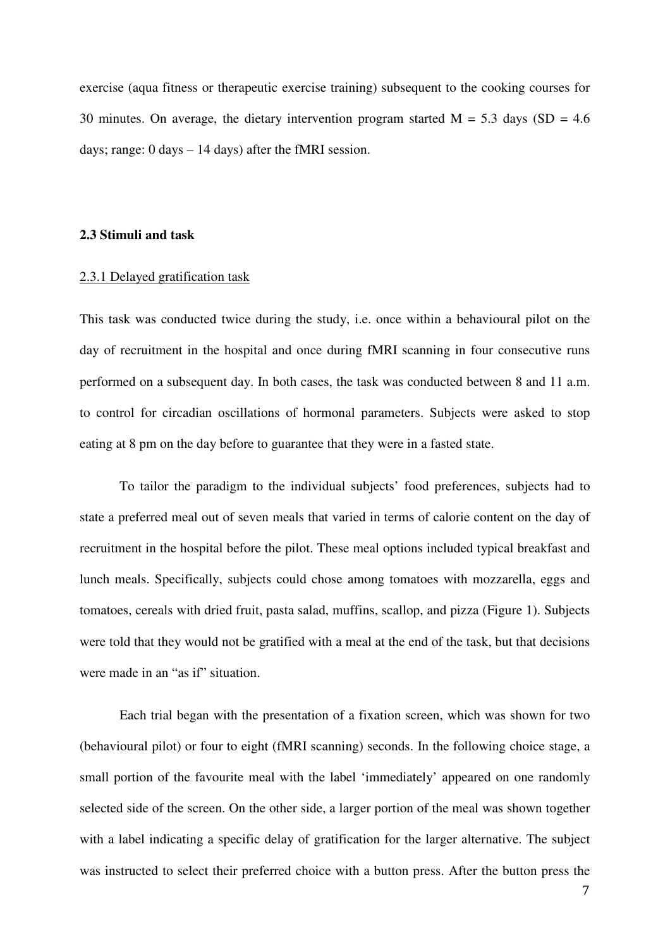exercise (aqua fitness or therapeutic exercise training) subsequent to the cooking courses for 30 minutes. On average, the dietary intervention program started  $M = 5.3$  days (SD = 4.6) days; range: 0 days – 14 days) after the fMRI session.

#### **2.3 Stimuli and task**

### 2.3.1 Delayed gratification task

This task was conducted twice during the study, i.e. once within a behavioural pilot on the day of recruitment in the hospital and once during fMRI scanning in four consecutive runs performed on a subsequent day. In both cases, the task was conducted between 8 and 11 a.m. to control for circadian oscillations of hormonal parameters. Subjects were asked to stop eating at 8 pm on the day before to guarantee that they were in a fasted state.

To tailor the paradigm to the individual subjects' food preferences, subjects had to state a preferred meal out of seven meals that varied in terms of calorie content on the day of recruitment in the hospital before the pilot. These meal options included typical breakfast and lunch meals. Specifically, subjects could chose among tomatoes with mozzarella, eggs and tomatoes, cereals with dried fruit, pasta salad, muffins, scallop, and pizza (Figure 1). Subjects were told that they would not be gratified with a meal at the end of the task, but that decisions were made in an "as if" situation.

Each trial began with the presentation of a fixation screen, which was shown for two (behavioural pilot) or four to eight (fMRI scanning) seconds. In the following choice stage, a small portion of the favourite meal with the label 'immediately' appeared on one randomly selected side of the screen. On the other side, a larger portion of the meal was shown together with a label indicating a specific delay of gratification for the larger alternative. The subject was instructed to select their preferred choice with a button press. After the button press the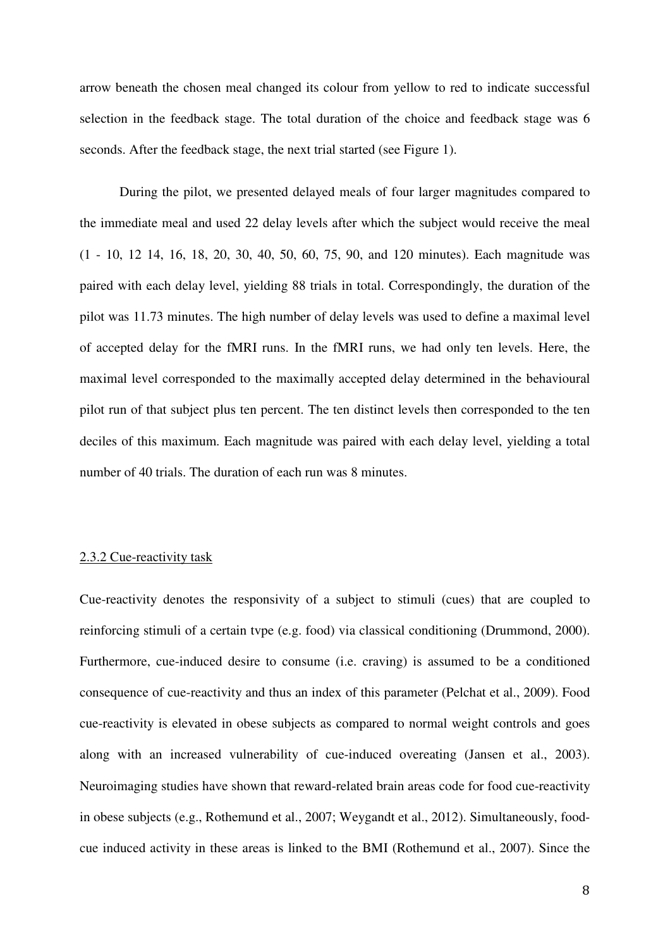arrow beneath the chosen meal changed its colour from yellow to red to indicate successful selection in the feedback stage. The total duration of the choice and feedback stage was 6 seconds. After the feedback stage, the next trial started (see Figure 1).

During the pilot, we presented delayed meals of four larger magnitudes compared to the immediate meal and used 22 delay levels after which the subject would receive the meal (1 - 10, 12 14, 16, 18, 20, 30, 40, 50, 60, 75, 90, and 120 minutes). Each magnitude was paired with each delay level, yielding 88 trials in total. Correspondingly, the duration of the pilot was 11.73 minutes. The high number of delay levels was used to define a maximal level of accepted delay for the fMRI runs. In the fMRI runs, we had only ten levels. Here, the maximal level corresponded to the maximally accepted delay determined in the behavioural pilot run of that subject plus ten percent. The ten distinct levels then corresponded to the ten deciles of this maximum. Each magnitude was paired with each delay level, yielding a total number of 40 trials. The duration of each run was 8 minutes.

### 2.3.2 Cue-reactivity task

Cue-reactivity denotes the responsivity of a subject to stimuli (cues) that are coupled to reinforcing stimuli of a certain tvpe (e.g. food) via classical conditioning (Drummond, 2000). Furthermore, cue-induced desire to consume (i.e. craving) is assumed to be a conditioned consequence of cue-reactivity and thus an index of this parameter (Pelchat et al., 2009). Food cue-reactivity is elevated in obese subjects as compared to normal weight controls and goes along with an increased vulnerability of cue-induced overeating (Jansen et al., 2003). Neuroimaging studies have shown that reward-related brain areas code for food cue-reactivity in obese subjects (e.g., Rothemund et al., 2007; Weygandt et al., 2012). Simultaneously, foodcue induced activity in these areas is linked to the BMI (Rothemund et al., 2007). Since the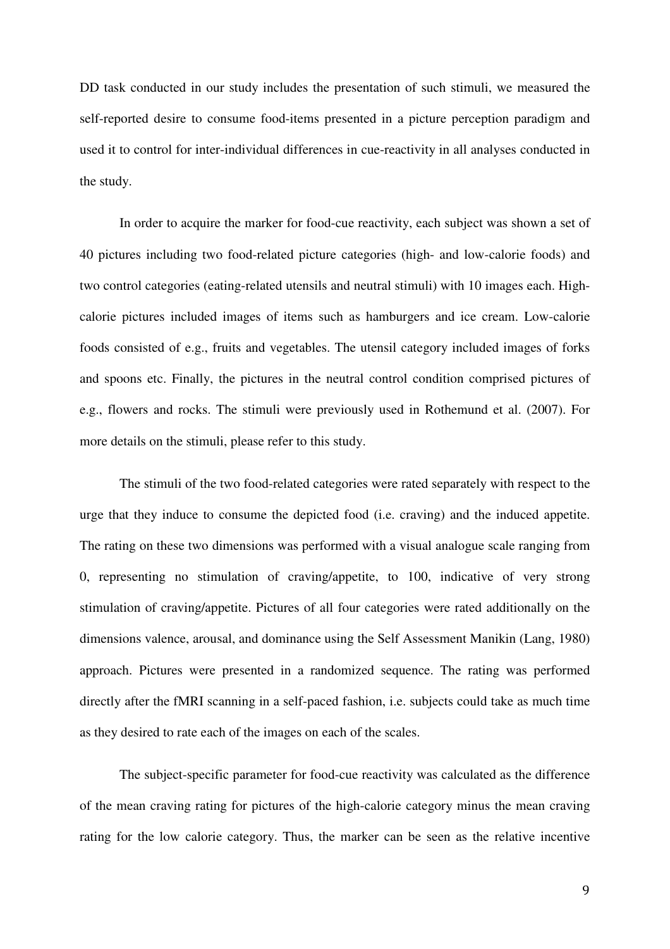DD task conducted in our study includes the presentation of such stimuli, we measured the self-reported desire to consume food-items presented in a picture perception paradigm and used it to control for inter-individual differences in cue-reactivity in all analyses conducted in the study.

In order to acquire the marker for food-cue reactivity, each subject was shown a set of 40 pictures including two food-related picture categories (high- and low-calorie foods) and two control categories (eating-related utensils and neutral stimuli) with 10 images each. Highcalorie pictures included images of items such as hamburgers and ice cream. Low-calorie foods consisted of e.g., fruits and vegetables. The utensil category included images of forks and spoons etc. Finally, the pictures in the neutral control condition comprised pictures of e.g., flowers and rocks. The stimuli were previously used in Rothemund et al. (2007). For more details on the stimuli, please refer to this study.

The stimuli of the two food-related categories were rated separately with respect to the urge that they induce to consume the depicted food (i.e. craving) and the induced appetite. The rating on these two dimensions was performed with a visual analogue scale ranging from 0, representing no stimulation of craving/appetite, to 100, indicative of very strong stimulation of craving/appetite. Pictures of all four categories were rated additionally on the dimensions valence, arousal, and dominance using the Self Assessment Manikin (Lang, 1980) approach. Pictures were presented in a randomized sequence. The rating was performed directly after the fMRI scanning in a self-paced fashion, i.e. subjects could take as much time as they desired to rate each of the images on each of the scales.

The subject-specific parameter for food-cue reactivity was calculated as the difference of the mean craving rating for pictures of the high-calorie category minus the mean craving rating for the low calorie category. Thus, the marker can be seen as the relative incentive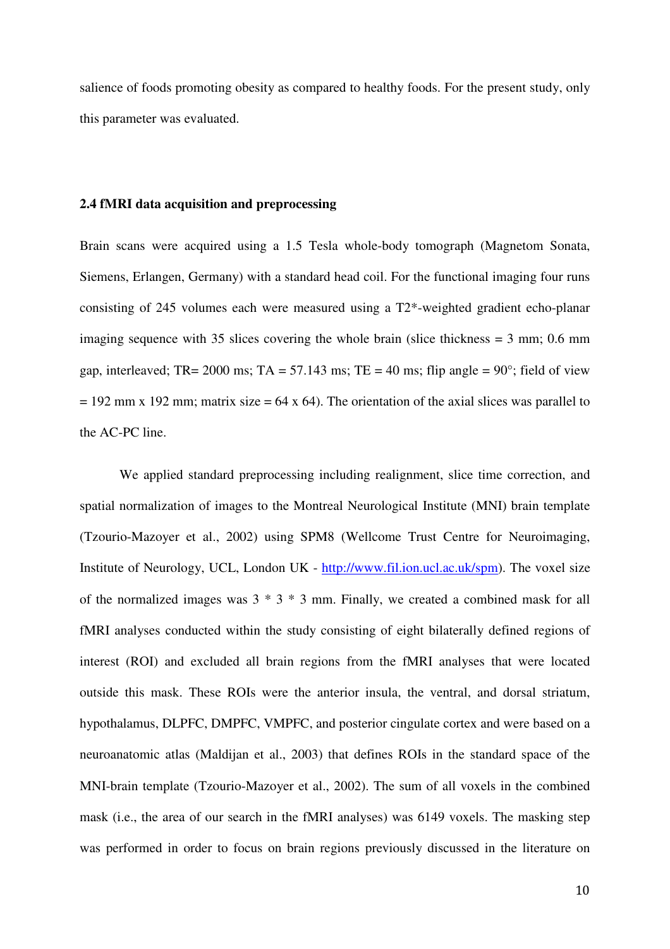salience of foods promoting obesity as compared to healthy foods. For the present study, only this parameter was evaluated.

## **2.4 fMRI data acquisition and preprocessing**

Brain scans were acquired using a 1.5 Tesla whole-body tomograph (Magnetom Sonata, Siemens, Erlangen, Germany) with a standard head coil. For the functional imaging four runs consisting of 245 volumes each were measured using a T2\*-weighted gradient echo-planar imaging sequence with 35 slices covering the whole brain (slice thickness = 3 mm; 0.6 mm gap, interleaved; TR= 2000 ms; TA = 57.143 ms; TE = 40 ms; flip angle =  $90^{\circ}$ ; field of view  $= 192$  mm x 192 mm; matrix size  $= 64$  x 64). The orientation of the axial slices was parallel to the AC-PC line.

We applied standard preprocessing including realignment, slice time correction, and spatial normalization of images to the Montreal Neurological Institute (MNI) brain template (Tzourio-Mazoyer et al., 2002) using SPM8 (Wellcome Trust Centre for Neuroimaging, Institute of Neurology, UCL, London UK - http://www.fil.ion.ucl.ac.uk/spm). The voxel size of the normalized images was 3 \* 3 \* 3 mm. Finally, we created a combined mask for all fMRI analyses conducted within the study consisting of eight bilaterally defined regions of interest (ROI) and excluded all brain regions from the fMRI analyses that were located outside this mask. These ROIs were the anterior insula, the ventral, and dorsal striatum, hypothalamus, DLPFC, DMPFC, VMPFC, and posterior cingulate cortex and were based on a neuroanatomic atlas (Maldijan et al., 2003) that defines ROIs in the standard space of the MNI-brain template (Tzourio-Mazoyer et al., 2002). The sum of all voxels in the combined mask (i.e., the area of our search in the fMRI analyses) was 6149 voxels. The masking step was performed in order to focus on brain regions previously discussed in the literature on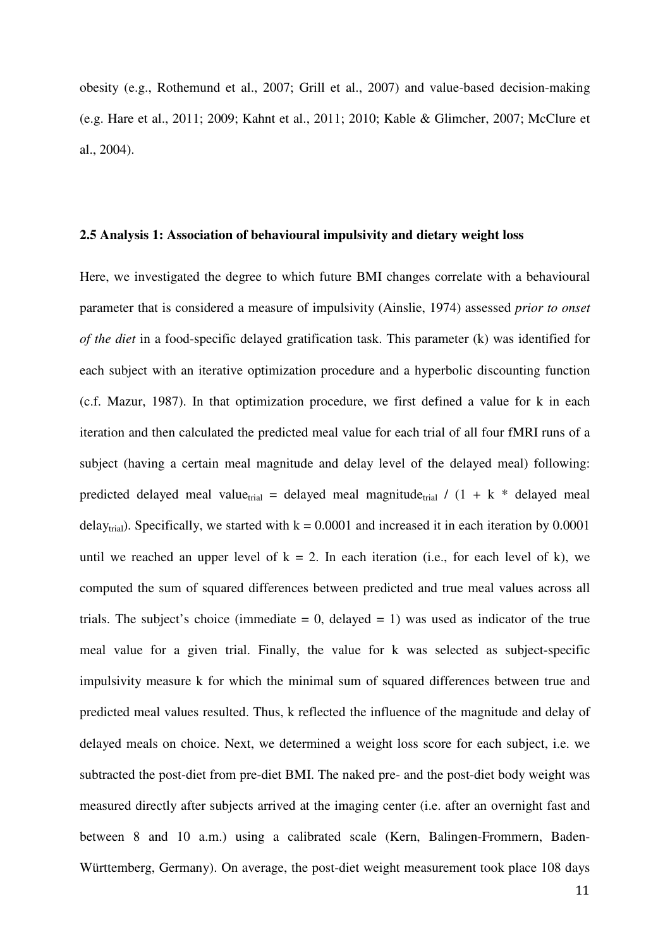obesity (e.g., Rothemund et al., 2007; Grill et al., 2007) and value-based decision-making (e.g. Hare et al., 2011; 2009; Kahnt et al., 2011; 2010; Kable & Glimcher, 2007; McClure et al., 2004).

#### **2.5 Analysis 1: Association of behavioural impulsivity and dietary weight loss**

Here, we investigated the degree to which future BMI changes correlate with a behavioural parameter that is considered a measure of impulsivity (Ainslie, 1974) assessed *prior to onset of the diet* in a food-specific delayed gratification task. This parameter (k) was identified for each subject with an iterative optimization procedure and a hyperbolic discounting function (c.f. Mazur, 1987). In that optimization procedure, we first defined a value for k in each iteration and then calculated the predicted meal value for each trial of all four fMRI runs of a subject (having a certain meal magnitude and delay level of the delayed meal) following: predicted delayed meal value<sub>trial</sub> = delayed meal magnitude<sub>trial</sub> /  $(1 + k *$  delayed meal delay<sub>trial</sub>). Specifically, we started with  $k = 0.0001$  and increased it in each iteration by 0.0001 until we reached an upper level of  $k = 2$ . In each iteration (i.e., for each level of k), we computed the sum of squared differences between predicted and true meal values across all trials. The subject's choice (immediate  $= 0$ , delayed  $= 1$ ) was used as indicator of the true meal value for a given trial. Finally, the value for k was selected as subject-specific impulsivity measure k for which the minimal sum of squared differences between true and predicted meal values resulted. Thus, k reflected the influence of the magnitude and delay of delayed meals on choice. Next, we determined a weight loss score for each subject, i.e. we subtracted the post-diet from pre-diet BMI. The naked pre- and the post-diet body weight was measured directly after subjects arrived at the imaging center (i.e. after an overnight fast and between 8 and 10 a.m.) using a calibrated scale (Kern, Balingen-Frommern, Baden-Württemberg, Germany). On average, the post-diet weight measurement took place 108 days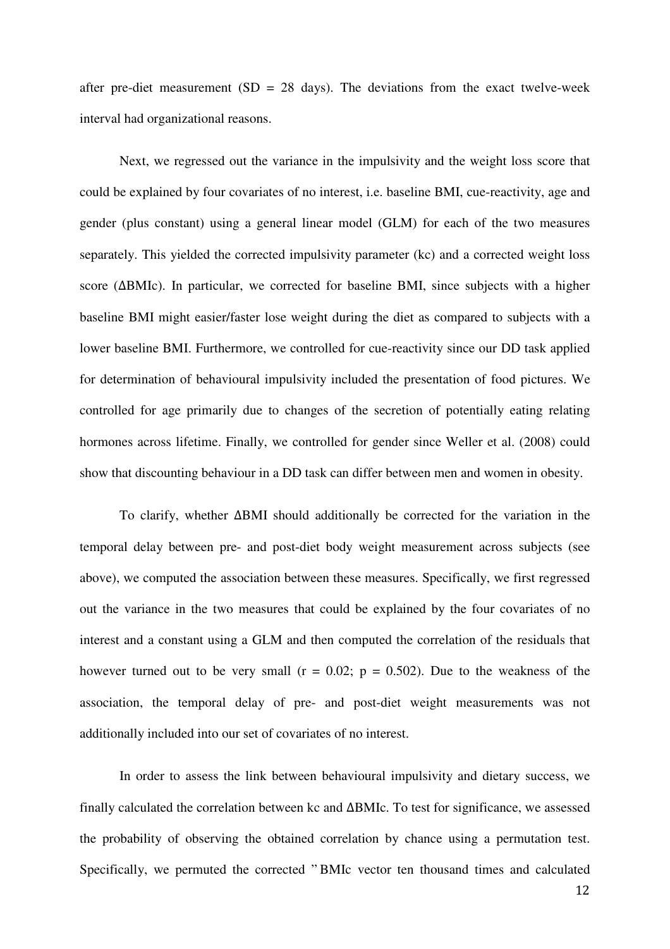after pre-diet measurement (SD = 28 days). The deviations from the exact twelve-week interval had organizational reasons.

Next, we regressed out the variance in the impulsivity and the weight loss score that could be explained by four covariates of no interest, i.e. baseline BMI, cue-reactivity, age and gender (plus constant) using a general linear model (GLM) for each of the two measures separately. This yielded the corrected impulsivity parameter (kc) and a corrected weight loss score (ΔBMIc). In particular, we corrected for baseline BMI, since subjects with a higher baseline BMI might easier/faster lose weight during the diet as compared to subjects with a lower baseline BMI. Furthermore, we controlled for cue-reactivity since our DD task applied for determination of behavioural impulsivity included the presentation of food pictures. We controlled for age primarily due to changes of the secretion of potentially eating relating hormones across lifetime. Finally, we controlled for gender since Weller et al. (2008) could show that discounting behaviour in a DD task can differ between men and women in obesity.

To clarify, whether ΔBMI should additionally be corrected for the variation in the temporal delay between pre- and post-diet body weight measurement across subjects (see above), we computed the association between these measures. Specifically, we first regressed out the variance in the two measures that could be explained by the four covariates of no interest and a constant using a GLM and then computed the correlation of the residuals that however turned out to be very small  $(r = 0.02; p = 0.502)$ . Due to the weakness of the association, the temporal delay of pre- and post-diet weight measurements was not additionally included into our set of covariates of no interest.

In order to assess the link between behavioural impulsivity and dietary success, we finally calculated the correlation between kc and ΔBMIc. To test for significance, we assessed the probability of observing the obtained correlation by chance using a permutation test. Specifically, we permuted the corrected " BMIc vector ten thousand times and calculated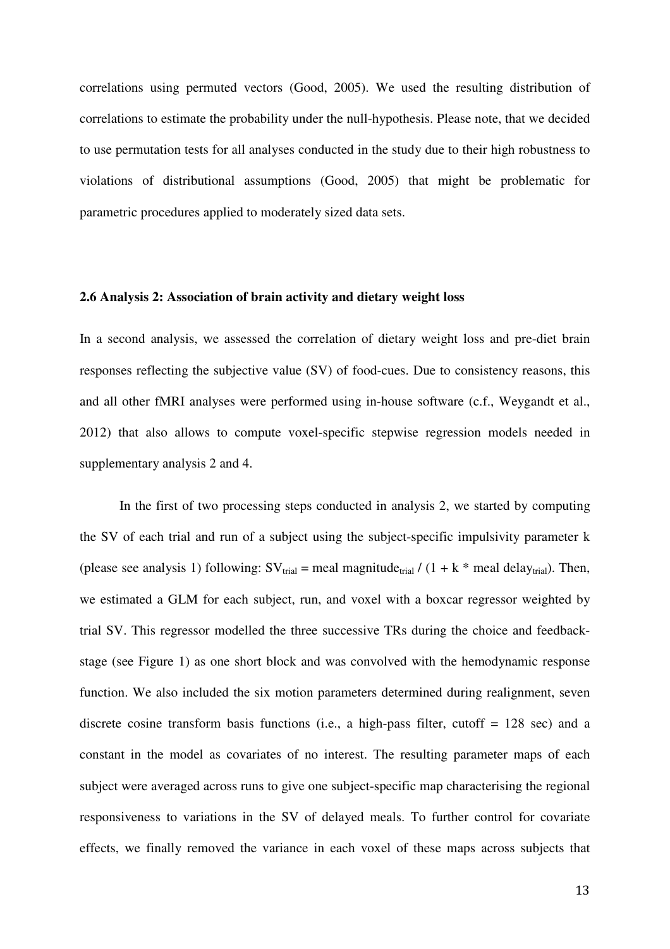correlations using permuted vectors (Good, 2005). We used the resulting distribution of correlations to estimate the probability under the null-hypothesis. Please note, that we decided to use permutation tests for all analyses conducted in the study due to their high robustness to violations of distributional assumptions (Good, 2005) that might be problematic for parametric procedures applied to moderately sized data sets.

#### **2.6 Analysis 2: Association of brain activity and dietary weight loss**

In a second analysis, we assessed the correlation of dietary weight loss and pre-diet brain responses reflecting the subjective value (SV) of food-cues. Due to consistency reasons, this and all other fMRI analyses were performed using in-house software (c.f., Weygandt et al., 2012) that also allows to compute voxel-specific stepwise regression models needed in supplementary analysis 2 and 4.

In the first of two processing steps conducted in analysis 2, we started by computing the SV of each trial and run of a subject using the subject-specific impulsivity parameter k (please see analysis 1) following:  $SV_{trial}$  = meal magnitude<sub>trial</sub> / (1 + k  $*$  meal delay<sub>trial</sub>). Then, we estimated a GLM for each subject, run, and voxel with a boxcar regressor weighted by trial SV. This regressor modelled the three successive TRs during the choice and feedbackstage (see Figure 1) as one short block and was convolved with the hemodynamic response function. We also included the six motion parameters determined during realignment, seven discrete cosine transform basis functions (i.e., a high-pass filter, cutoff = 128 sec) and a constant in the model as covariates of no interest. The resulting parameter maps of each subject were averaged across runs to give one subject-specific map characterising the regional responsiveness to variations in the SV of delayed meals. To further control for covariate effects, we finally removed the variance in each voxel of these maps across subjects that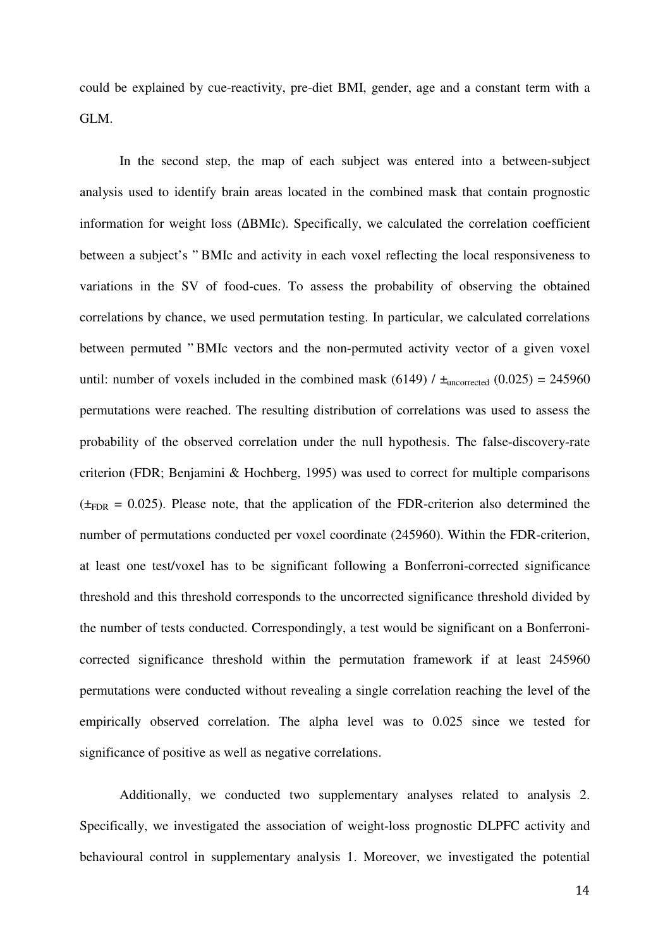could be explained by cue-reactivity, pre-diet BMI, gender, age and a constant term with a GLM.

In the second step, the map of each subject was entered into a between-subject analysis used to identify brain areas located in the combined mask that contain prognostic information for weight loss (ΔBMIc). Specifically, we calculated the correlation coefficient between a subject's " BMIc and activity in each voxel reflecting the local responsiveness to variations in the SV of food-cues. To assess the probability of observing the obtained correlations by chance, we used permutation testing. In particular, we calculated correlations between permuted " BMIc vectors and the non-permuted activity vector of a given voxel until: number of voxels included in the combined mask (6149) /  $\pm$ <sub>uncorrected</sub> (0.025) = 245960 permutations were reached. The resulting distribution of correlations was used to assess the probability of the observed correlation under the null hypothesis. The false-discovery-rate criterion (FDR; Benjamini & Hochberg, 1995) was used to correct for multiple comparisons  $(\pm_{FDR} = 0.025)$ . Please note, that the application of the FDR-criterion also determined the number of permutations conducted per voxel coordinate (245960). Within the FDR-criterion, at least one test/voxel has to be significant following a Bonferroni-corrected significance threshold and this threshold corresponds to the uncorrected significance threshold divided by the number of tests conducted. Correspondingly, a test would be significant on a Bonferronicorrected significance threshold within the permutation framework if at least 245960 permutations were conducted without revealing a single correlation reaching the level of the empirically observed correlation. The alpha level was to 0.025 since we tested for significance of positive as well as negative correlations.

Additionally, we conducted two supplementary analyses related to analysis 2. Specifically, we investigated the association of weight-loss prognostic DLPFC activity and behavioural control in supplementary analysis 1. Moreover, we investigated the potential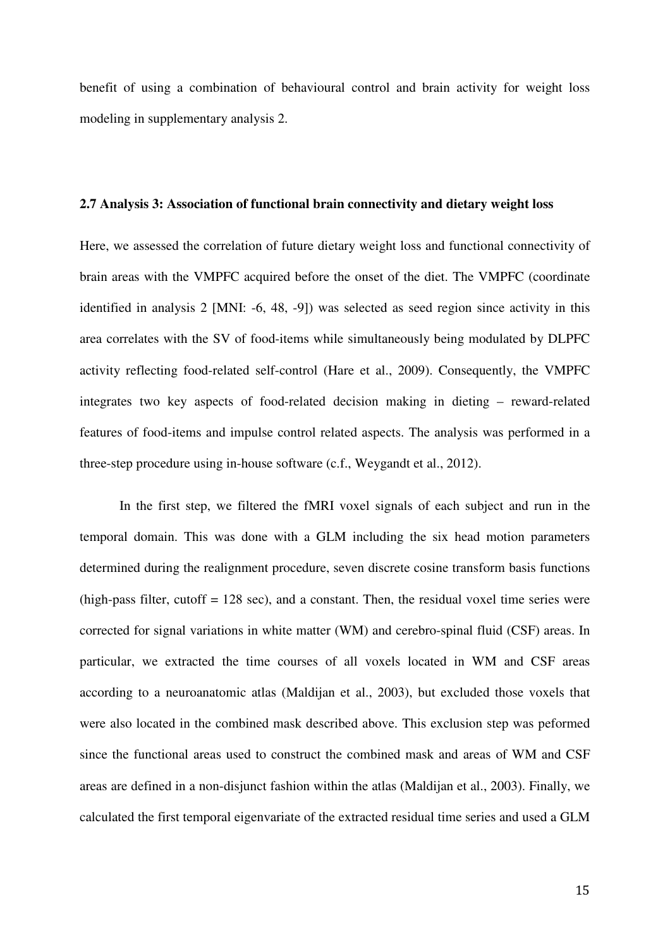benefit of using a combination of behavioural control and brain activity for weight loss modeling in supplementary analysis 2.

### **2.7 Analysis 3: Association of functional brain connectivity and dietary weight loss**

Here, we assessed the correlation of future dietary weight loss and functional connectivity of brain areas with the VMPFC acquired before the onset of the diet. The VMPFC (coordinate identified in analysis 2 [MNI: -6, 48, -9]) was selected as seed region since activity in this area correlates with the SV of food-items while simultaneously being modulated by DLPFC activity reflecting food-related self-control (Hare et al., 2009). Consequently, the VMPFC integrates two key aspects of food-related decision making in dieting – reward-related features of food-items and impulse control related aspects. The analysis was performed in a three-step procedure using in-house software (c.f., Weygandt et al., 2012).

In the first step, we filtered the fMRI voxel signals of each subject and run in the temporal domain. This was done with a GLM including the six head motion parameters determined during the realignment procedure, seven discrete cosine transform basis functions  $(high-pass filter, cutoff = 128 sec)$ , and a constant. Then, the residual voxel time series were corrected for signal variations in white matter (WM) and cerebro-spinal fluid (CSF) areas. In particular, we extracted the time courses of all voxels located in WM and CSF areas according to a neuroanatomic atlas (Maldijan et al., 2003), but excluded those voxels that were also located in the combined mask described above. This exclusion step was peformed since the functional areas used to construct the combined mask and areas of WM and CSF areas are defined in a non-disjunct fashion within the atlas (Maldijan et al., 2003). Finally, we calculated the first temporal eigenvariate of the extracted residual time series and used a GLM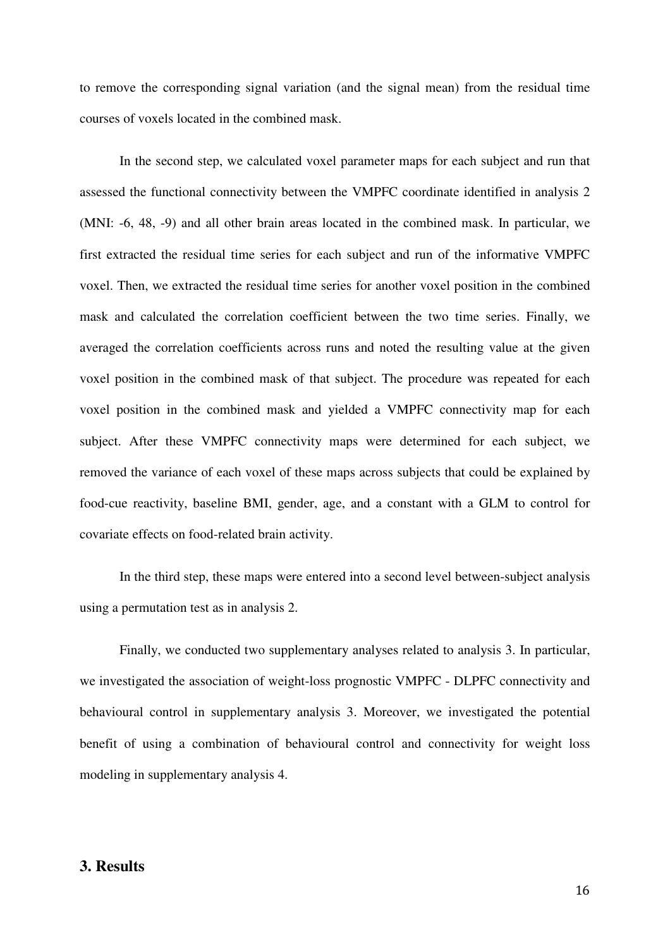to remove the corresponding signal variation (and the signal mean) from the residual time courses of voxels located in the combined mask.

In the second step, we calculated voxel parameter maps for each subject and run that assessed the functional connectivity between the VMPFC coordinate identified in analysis 2 (MNI: -6, 48, -9) and all other brain areas located in the combined mask. In particular, we first extracted the residual time series for each subject and run of the informative VMPFC voxel. Then, we extracted the residual time series for another voxel position in the combined mask and calculated the correlation coefficient between the two time series. Finally, we averaged the correlation coefficients across runs and noted the resulting value at the given voxel position in the combined mask of that subject. The procedure was repeated for each voxel position in the combined mask and yielded a VMPFC connectivity map for each subject. After these VMPFC connectivity maps were determined for each subject, we removed the variance of each voxel of these maps across subjects that could be explained by food-cue reactivity, baseline BMI, gender, age, and a constant with a GLM to control for covariate effects on food-related brain activity.

In the third step, these maps were entered into a second level between-subject analysis using a permutation test as in analysis 2.

Finally, we conducted two supplementary analyses related to analysis 3. In particular, we investigated the association of weight-loss prognostic VMPFC - DLPFC connectivity and behavioural control in supplementary analysis 3. Moreover, we investigated the potential benefit of using a combination of behavioural control and connectivity for weight loss modeling in supplementary analysis 4.

# **3. Results**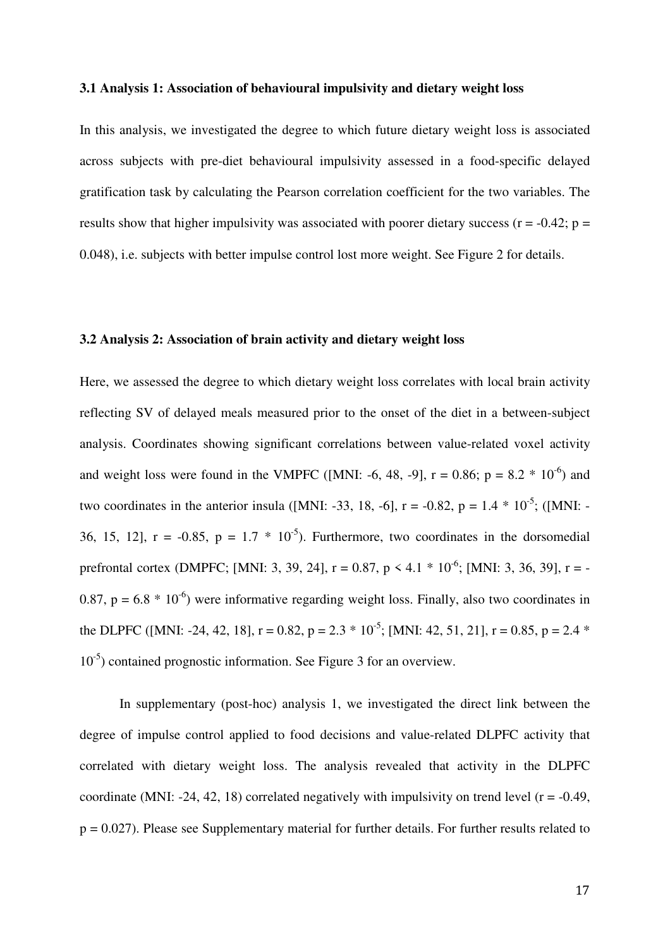### **3.1 Analysis 1: Association of behavioural impulsivity and dietary weight loss**

In this analysis, we investigated the degree to which future dietary weight loss is associated across subjects with pre-diet behavioural impulsivity assessed in a food-specific delayed gratification task by calculating the Pearson correlation coefficient for the two variables. The results show that higher impulsivity was associated with poorer dietary success ( $r = -0.42$ ;  $p =$ 0.048), i.e. subjects with better impulse control lost more weight. See Figure 2 for details.

### **3.2 Analysis 2: Association of brain activity and dietary weight loss**

Here, we assessed the degree to which dietary weight loss correlates with local brain activity reflecting SV of delayed meals measured prior to the onset of the diet in a between-subject analysis. Coordinates showing significant correlations between value-related voxel activity and weight loss were found in the VMPFC ([MNI: -6, 48, -9],  $r = 0.86$ ;  $p = 8.2 * 10^{-6}$ ) and two coordinates in the anterior insula ([MNI: -33, 18, -6],  $r = -0.82$ ,  $p = 1.4 * 10^{-5}$ ; ([MNI: -36, 15, 12],  $r = -0.85$ ,  $p = 1.7 * 10^{-5}$ . Furthermore, two coordinates in the dorsomedial prefrontal cortex (DMPFC; [MNI: 3, 39, 24],  $r = 0.87$ ,  $p < 4.1 * 10^{-6}$ ; [MNI: 3, 36, 39],  $r = -$ 0.87,  $p = 6.8 * 10^{-6}$ ) were informative regarding weight loss. Finally, also two coordinates in the DLPFC ([MNI: -24, 42, 18],  $r = 0.82$ ,  $p = 2.3 * 10^{-5}$ ; [MNI: 42, 51, 21],  $r = 0.85$ ,  $p = 2.4 *$  $10^{-5}$ ) contained prognostic information. See Figure 3 for an overview.

In supplementary (post-hoc) analysis 1, we investigated the direct link between the degree of impulse control applied to food decisions and value-related DLPFC activity that correlated with dietary weight loss. The analysis revealed that activity in the DLPFC coordinate (MNI: -24, 42, 18) correlated negatively with impulsivity on trend level ( $r = -0.49$ , p = 0.027). Please see Supplementary material for further details. For further results related to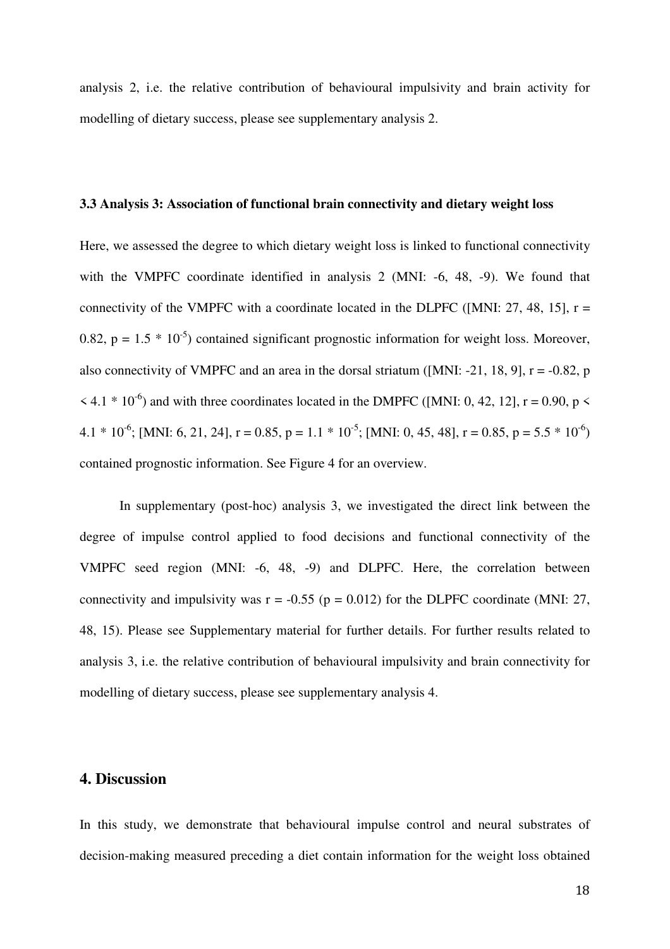analysis 2, i.e. the relative contribution of behavioural impulsivity and brain activity for modelling of dietary success, please see supplementary analysis 2.

### **3.3 Analysis 3: Association of functional brain connectivity and dietary weight loss**

Here, we assessed the degree to which dietary weight loss is linked to functional connectivity with the VMPFC coordinate identified in analysis 2 (MNI: -6, 48, -9). We found that connectivity of the VMPFC with a coordinate located in the DLPFC ([MNI:  $27$ , 48, 15], r = 0.82,  $p = 1.5 * 10^{-5}$  contained significant prognostic information for weight loss. Moreover, also connectivity of VMPFC and an area in the dorsal striatum ([MNI: -21, 18, 9],  $r = -0.82$ , p  $\leq 4.1 * 10^{-6}$ ) and with three coordinates located in the DMPFC ([MNI: 0, 42, 12], r = 0.90, p  $\leq$ 4.1 \*  $10^{-6}$ ; [MNI: 6, 21, 24], r = 0.85, p = 1.1 \*  $10^{-5}$ ; [MNI: 0, 45, 48], r = 0.85, p = 5.5 \*  $10^{-6}$ ) contained prognostic information. See Figure 4 for an overview.

In supplementary (post-hoc) analysis 3, we investigated the direct link between the degree of impulse control applied to food decisions and functional connectivity of the VMPFC seed region (MNI: -6, 48, -9) and DLPFC. Here, the correlation between connectivity and impulsivity was  $r = -0.55$  ( $p = 0.012$ ) for the DLPFC coordinate (MNI: 27, 48, 15). Please see Supplementary material for further details. For further results related to analysis 3, i.e. the relative contribution of behavioural impulsivity and brain connectivity for modelling of dietary success, please see supplementary analysis 4.

## **4. Discussion**

In this study, we demonstrate that behavioural impulse control and neural substrates of decision-making measured preceding a diet contain information for the weight loss obtained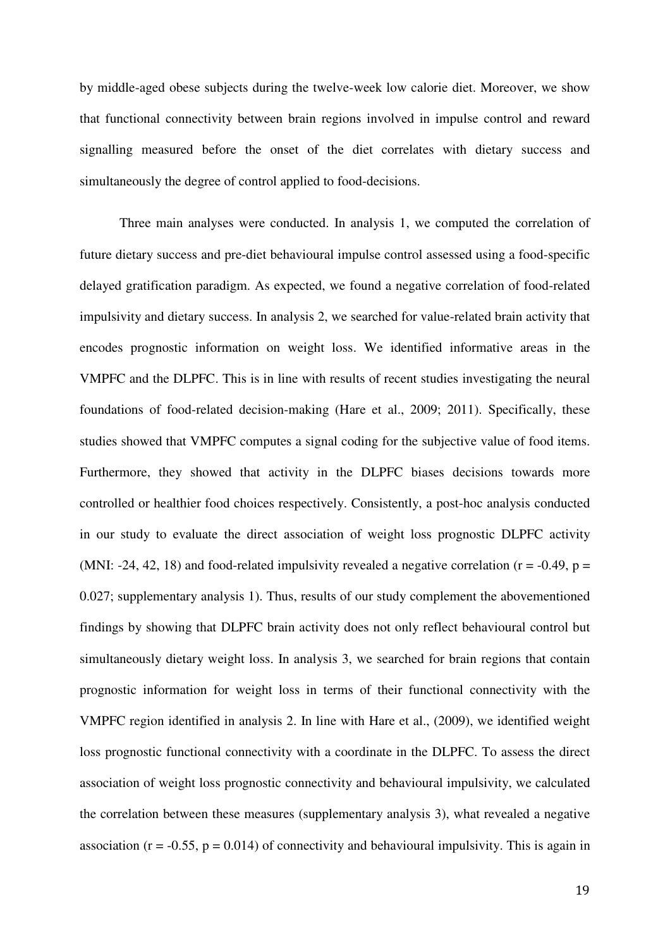by middle-aged obese subjects during the twelve-week low calorie diet. Moreover, we show that functional connectivity between brain regions involved in impulse control and reward signalling measured before the onset of the diet correlates with dietary success and simultaneously the degree of control applied to food-decisions.

Three main analyses were conducted. In analysis 1, we computed the correlation of future dietary success and pre-diet behavioural impulse control assessed using a food-specific delayed gratification paradigm. As expected, we found a negative correlation of food-related impulsivity and dietary success. In analysis 2, we searched for value-related brain activity that encodes prognostic information on weight loss. We identified informative areas in the VMPFC and the DLPFC. This is in line with results of recent studies investigating the neural foundations of food-related decision-making (Hare et al., 2009; 2011). Specifically, these studies showed that VMPFC computes a signal coding for the subjective value of food items. Furthermore, they showed that activity in the DLPFC biases decisions towards more controlled or healthier food choices respectively. Consistently, a post-hoc analysis conducted in our study to evaluate the direct association of weight loss prognostic DLPFC activity (MNI: -24, 42, 18) and food-related impulsivity revealed a negative correlation ( $r = -0.49$ ,  $p =$ 0.027; supplementary analysis 1). Thus, results of our study complement the abovementioned findings by showing that DLPFC brain activity does not only reflect behavioural control but simultaneously dietary weight loss. In analysis 3, we searched for brain regions that contain prognostic information for weight loss in terms of their functional connectivity with the VMPFC region identified in analysis 2. In line with Hare et al., (2009), we identified weight loss prognostic functional connectivity with a coordinate in the DLPFC. To assess the direct association of weight loss prognostic connectivity and behavioural impulsivity, we calculated the correlation between these measures (supplementary analysis 3), what revealed a negative association ( $r = -0.55$ ,  $p = 0.014$ ) of connectivity and behavioural impulsivity. This is again in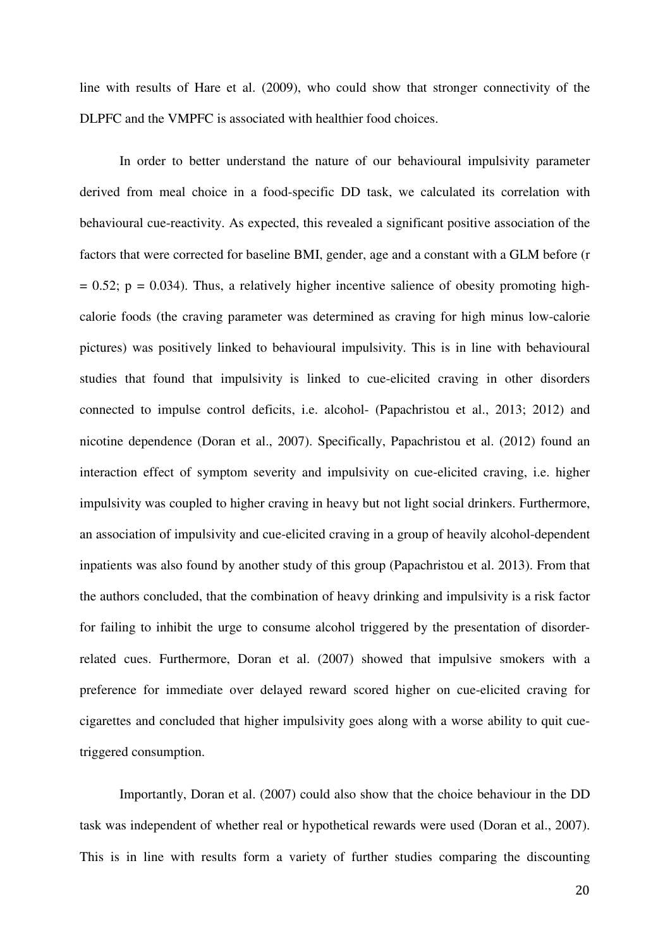line with results of Hare et al. (2009), who could show that stronger connectivity of the DLPFC and the VMPFC is associated with healthier food choices.

 In order to better understand the nature of our behavioural impulsivity parameter derived from meal choice in a food-specific DD task, we calculated its correlation with behavioural cue-reactivity. As expected, this revealed a significant positive association of the factors that were corrected for baseline BMI, gender, age and a constant with a GLM before (r  $= 0.52$ ;  $p = 0.034$ ). Thus, a relatively higher incentive salience of obesity promoting highcalorie foods (the craving parameter was determined as craving for high minus low-calorie pictures) was positively linked to behavioural impulsivity. This is in line with behavioural studies that found that impulsivity is linked to cue-elicited craving in other disorders connected to impulse control deficits, i.e. alcohol- (Papachristou et al., 2013; 2012) and nicotine dependence (Doran et al., 2007). Specifically, Papachristou et al. (2012) found an interaction effect of symptom severity and impulsivity on cue-elicited craving, i.e. higher impulsivity was coupled to higher craving in heavy but not light social drinkers. Furthermore, an association of impulsivity and cue-elicited craving in a group of heavily alcohol-dependent inpatients was also found by another study of this group (Papachristou et al. 2013). From that the authors concluded, that the combination of heavy drinking and impulsivity is a risk factor for failing to inhibit the urge to consume alcohol triggered by the presentation of disorderrelated cues. Furthermore, Doran et al. (2007) showed that impulsive smokers with a preference for immediate over delayed reward scored higher on cue-elicited craving for cigarettes and concluded that higher impulsivity goes along with a worse ability to quit cuetriggered consumption.

Importantly, Doran et al. (2007) could also show that the choice behaviour in the DD task was independent of whether real or hypothetical rewards were used (Doran et al., 2007). This is in line with results form a variety of further studies comparing the discounting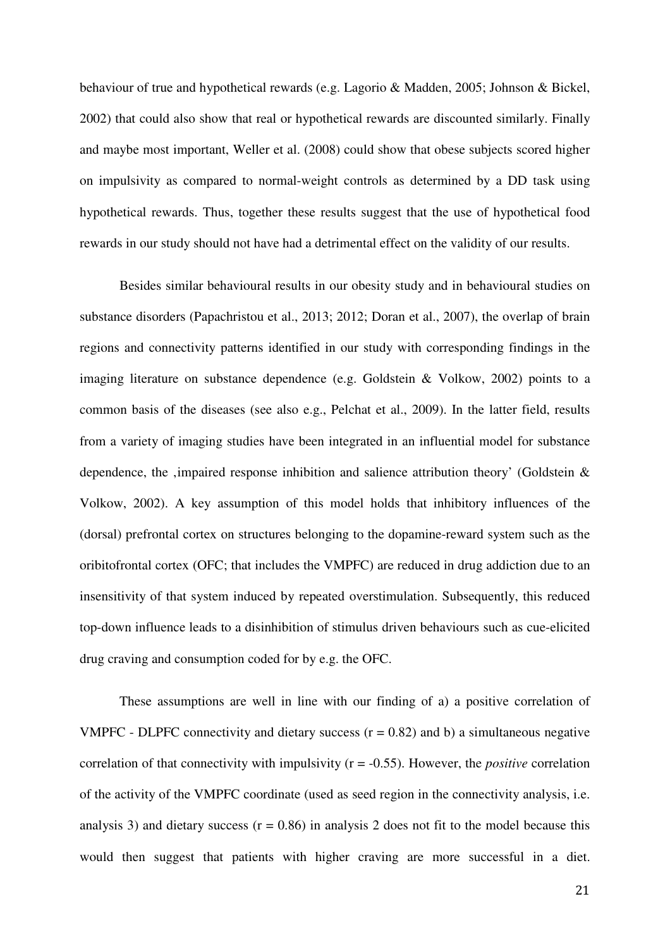behaviour of true and hypothetical rewards (e.g. Lagorio & Madden, 2005; Johnson & Bickel, 2002) that could also show that real or hypothetical rewards are discounted similarly. Finally and maybe most important, Weller et al. (2008) could show that obese subjects scored higher on impulsivity as compared to normal-weight controls as determined by a DD task using hypothetical rewards. Thus, together these results suggest that the use of hypothetical food rewards in our study should not have had a detrimental effect on the validity of our results.

Besides similar behavioural results in our obesity study and in behavioural studies on substance disorders (Papachristou et al., 2013; 2012; Doran et al., 2007), the overlap of brain regions and connectivity patterns identified in our study with corresponding findings in the imaging literature on substance dependence (e.g. Goldstein & Volkow, 2002) points to a common basis of the diseases (see also e.g., Pelchat et al., 2009). In the latter field, results from a variety of imaging studies have been integrated in an influential model for substance dependence, the ,impaired response inhibition and salience attribution theory' (Goldstein  $\&$ Volkow, 2002). A key assumption of this model holds that inhibitory influences of the (dorsal) prefrontal cortex on structures belonging to the dopamine-reward system such as the oribitofrontal cortex (OFC; that includes the VMPFC) are reduced in drug addiction due to an insensitivity of that system induced by repeated overstimulation. Subsequently, this reduced top-down influence leads to a disinhibition of stimulus driven behaviours such as cue-elicited drug craving and consumption coded for by e.g. the OFC.

These assumptions are well in line with our finding of a) a positive correlation of VMPFC - DLPFC connectivity and dietary success  $(r = 0.82)$  and b) a simultaneous negative correlation of that connectivity with impulsivity (r = -0.55). However, the *positive* correlation of the activity of the VMPFC coordinate (used as seed region in the connectivity analysis, i.e. analysis 3) and dietary success  $(r = 0.86)$  in analysis 2 does not fit to the model because this would then suggest that patients with higher craving are more successful in a diet.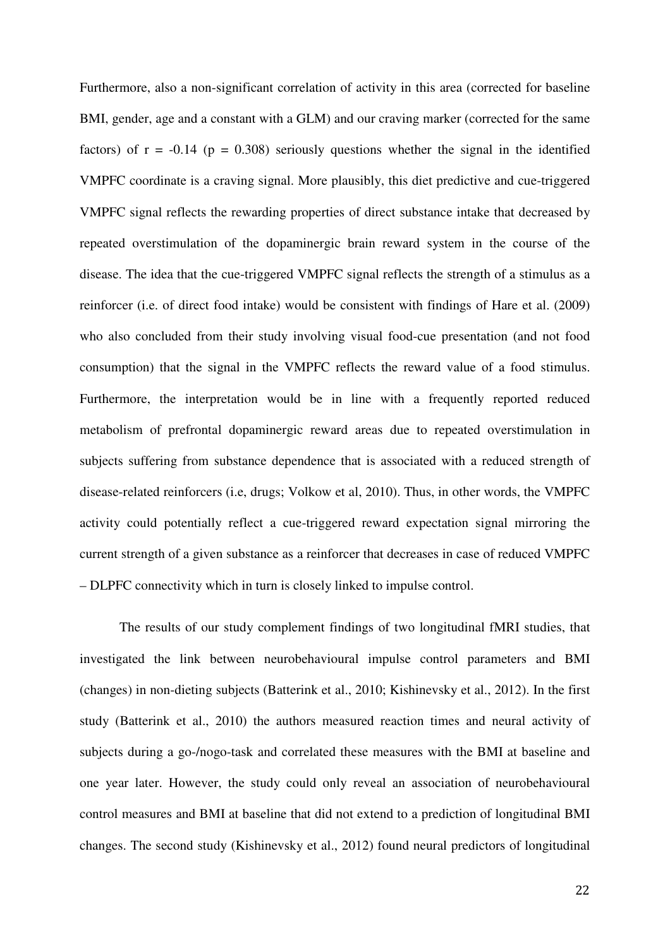Furthermore, also a non-significant correlation of activity in this area (corrected for baseline BMI, gender, age and a constant with a GLM) and our craving marker (corrected for the same factors) of  $r = -0.14$  ( $p = 0.308$ ) seriously questions whether the signal in the identified VMPFC coordinate is a craving signal. More plausibly, this diet predictive and cue-triggered VMPFC signal reflects the rewarding properties of direct substance intake that decreased by repeated overstimulation of the dopaminergic brain reward system in the course of the disease. The idea that the cue-triggered VMPFC signal reflects the strength of a stimulus as a reinforcer (i.e. of direct food intake) would be consistent with findings of Hare et al. (2009) who also concluded from their study involving visual food-cue presentation (and not food consumption) that the signal in the VMPFC reflects the reward value of a food stimulus. Furthermore, the interpretation would be in line with a frequently reported reduced metabolism of prefrontal dopaminergic reward areas due to repeated overstimulation in subjects suffering from substance dependence that is associated with a reduced strength of disease-related reinforcers (i.e, drugs; Volkow et al, 2010). Thus, in other words, the VMPFC activity could potentially reflect a cue-triggered reward expectation signal mirroring the current strength of a given substance as a reinforcer that decreases in case of reduced VMPFC – DLPFC connectivity which in turn is closely linked to impulse control.

The results of our study complement findings of two longitudinal fMRI studies, that investigated the link between neurobehavioural impulse control parameters and BMI (changes) in non-dieting subjects (Batterink et al., 2010; Kishinevsky et al., 2012). In the first study (Batterink et al., 2010) the authors measured reaction times and neural activity of subjects during a go-/nogo-task and correlated these measures with the BMI at baseline and one year later. However, the study could only reveal an association of neurobehavioural control measures and BMI at baseline that did not extend to a prediction of longitudinal BMI changes. The second study (Kishinevsky et al., 2012) found neural predictors of longitudinal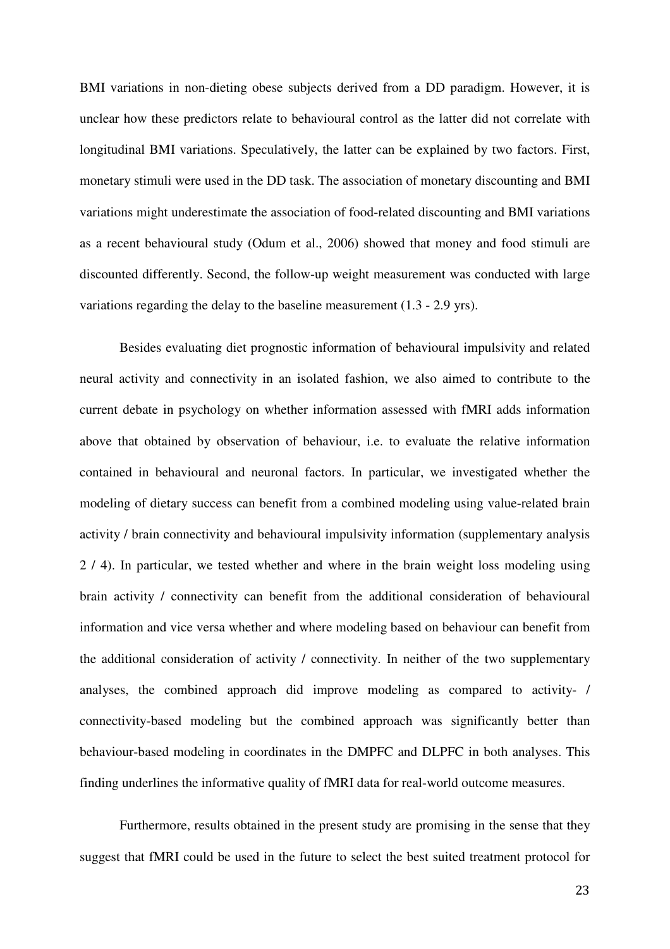BMI variations in non-dieting obese subjects derived from a DD paradigm. However, it is unclear how these predictors relate to behavioural control as the latter did not correlate with longitudinal BMI variations. Speculatively, the latter can be explained by two factors. First, monetary stimuli were used in the DD task. The association of monetary discounting and BMI variations might underestimate the association of food-related discounting and BMI variations as a recent behavioural study (Odum et al., 2006) showed that money and food stimuli are discounted differently. Second, the follow-up weight measurement was conducted with large variations regarding the delay to the baseline measurement (1.3 - 2.9 yrs).

Besides evaluating diet prognostic information of behavioural impulsivity and related neural activity and connectivity in an isolated fashion, we also aimed to contribute to the current debate in psychology on whether information assessed with fMRI adds information above that obtained by observation of behaviour, i.e. to evaluate the relative information contained in behavioural and neuronal factors. In particular, we investigated whether the modeling of dietary success can benefit from a combined modeling using value-related brain activity / brain connectivity and behavioural impulsivity information (supplementary analysis 2 / 4). In particular, we tested whether and where in the brain weight loss modeling using brain activity / connectivity can benefit from the additional consideration of behavioural information and vice versa whether and where modeling based on behaviour can benefit from the additional consideration of activity / connectivity. In neither of the two supplementary analyses, the combined approach did improve modeling as compared to activity- / connectivity-based modeling but the combined approach was significantly better than behaviour-based modeling in coordinates in the DMPFC and DLPFC in both analyses. This finding underlines the informative quality of fMRI data for real-world outcome measures.

Furthermore, results obtained in the present study are promising in the sense that they suggest that fMRI could be used in the future to select the best suited treatment protocol for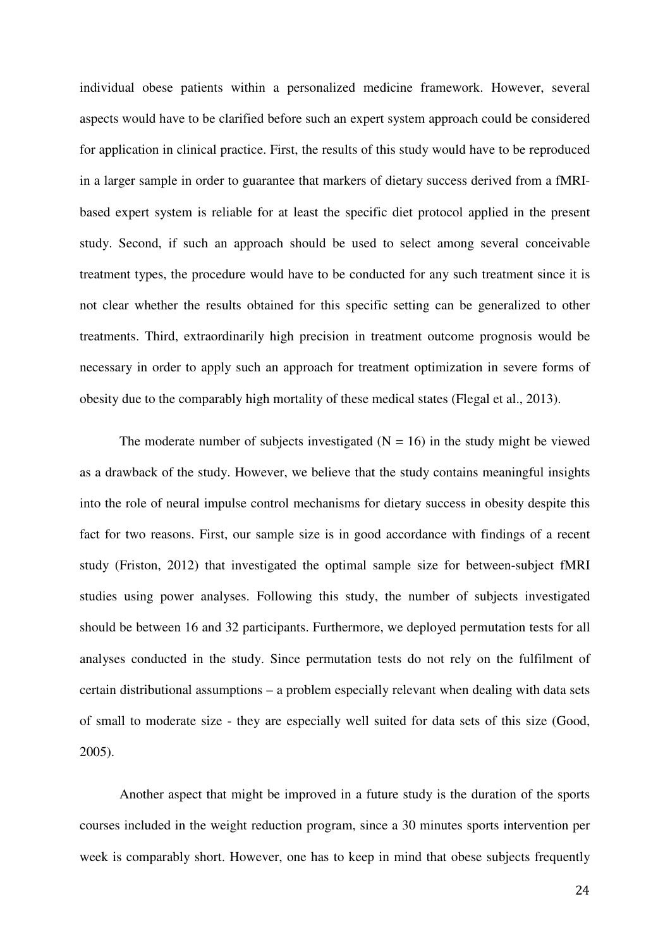individual obese patients within a personalized medicine framework. However, several aspects would have to be clarified before such an expert system approach could be considered for application in clinical practice. First, the results of this study would have to be reproduced in a larger sample in order to guarantee that markers of dietary success derived from a fMRIbased expert system is reliable for at least the specific diet protocol applied in the present study. Second, if such an approach should be used to select among several conceivable treatment types, the procedure would have to be conducted for any such treatment since it is not clear whether the results obtained for this specific setting can be generalized to other treatments. Third, extraordinarily high precision in treatment outcome prognosis would be necessary in order to apply such an approach for treatment optimization in severe forms of obesity due to the comparably high mortality of these medical states (Flegal et al., 2013).

The moderate number of subjects investigated  $(N = 16)$  in the study might be viewed as a drawback of the study. However, we believe that the study contains meaningful insights into the role of neural impulse control mechanisms for dietary success in obesity despite this fact for two reasons. First, our sample size is in good accordance with findings of a recent study (Friston, 2012) that investigated the optimal sample size for between-subject fMRI studies using power analyses. Following this study, the number of subjects investigated should be between 16 and 32 participants. Furthermore, we deployed permutation tests for all analyses conducted in the study. Since permutation tests do not rely on the fulfilment of certain distributional assumptions – a problem especially relevant when dealing with data sets of small to moderate size - they are especially well suited for data sets of this size (Good, 2005).

Another aspect that might be improved in a future study is the duration of the sports courses included in the weight reduction program, since a 30 minutes sports intervention per week is comparably short. However, one has to keep in mind that obese subjects frequently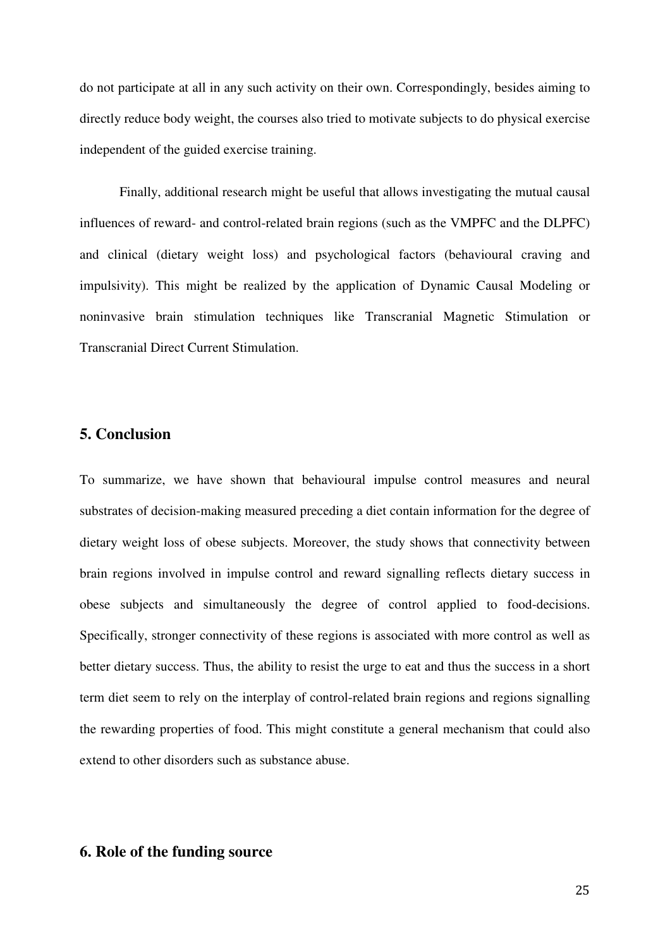do not participate at all in any such activity on their own. Correspondingly, besides aiming to directly reduce body weight, the courses also tried to motivate subjects to do physical exercise independent of the guided exercise training.

Finally, additional research might be useful that allows investigating the mutual causal influences of reward- and control-related brain regions (such as the VMPFC and the DLPFC) and clinical (dietary weight loss) and psychological factors (behavioural craving and impulsivity). This might be realized by the application of Dynamic Causal Modeling or noninvasive brain stimulation techniques like Transcranial Magnetic Stimulation or Transcranial Direct Current Stimulation.

# **5. Conclusion**

To summarize, we have shown that behavioural impulse control measures and neural substrates of decision-making measured preceding a diet contain information for the degree of dietary weight loss of obese subjects. Moreover, the study shows that connectivity between brain regions involved in impulse control and reward signalling reflects dietary success in obese subjects and simultaneously the degree of control applied to food-decisions. Specifically, stronger connectivity of these regions is associated with more control as well as better dietary success. Thus, the ability to resist the urge to eat and thus the success in a short term diet seem to rely on the interplay of control-related brain regions and regions signalling the rewarding properties of food. This might constitute a general mechanism that could also extend to other disorders such as substance abuse.

# **6. Role of the funding source**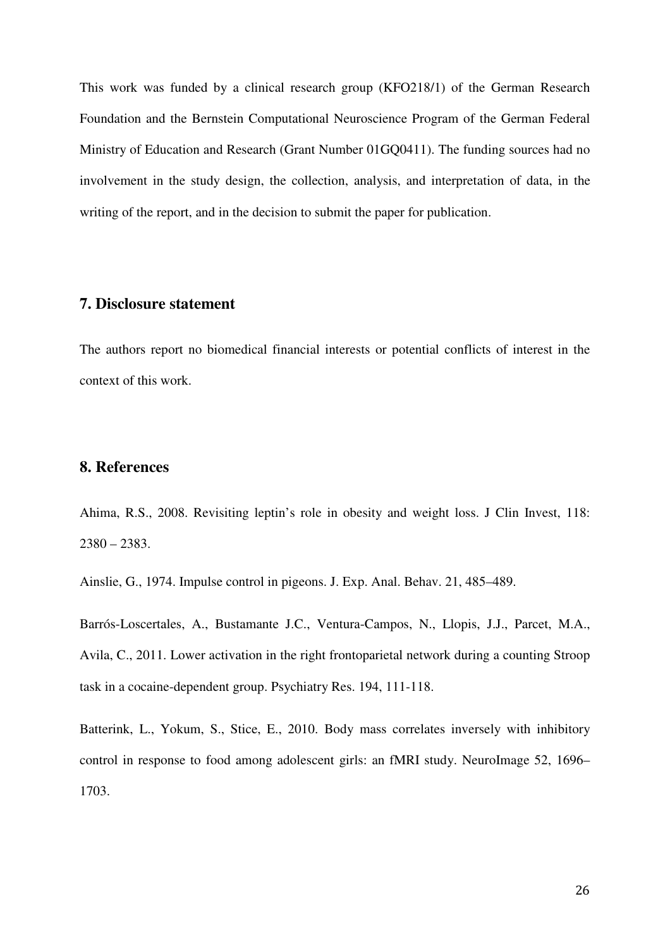This work was funded by a clinical research group (KFO218/1) of the German Research Foundation and the Bernstein Computational Neuroscience Program of the German Federal Ministry of Education and Research (Grant Number 01GQ0411). The funding sources had no involvement in the study design, the collection, analysis, and interpretation of data, in the writing of the report, and in the decision to submit the paper for publication.

# **7. Disclosure statement**

The authors report no biomedical financial interests or potential conflicts of interest in the context of this work.

# **8. References**

Ahima, R.S., 2008. Revisiting leptin's role in obesity and weight loss. J Clin Invest, 118:  $2380 - 2383.$ 

Ainslie, G., 1974. Impulse control in pigeons. J. Exp. Anal. Behav. 21, 485–489.

Barrós-Loscertales, A., Bustamante J.C., Ventura-Campos, N., Llopis, J.J., Parcet, M.A., Avila, C., 2011. Lower activation in the right frontoparietal network during a counting Stroop task in a cocaine-dependent group. Psychiatry Res. 194, 111-118.

Batterink, L., Yokum, S., Stice, E., 2010. Body mass correlates inversely with inhibitory control in response to food among adolescent girls: an fMRI study. NeuroImage 52, 1696– 1703.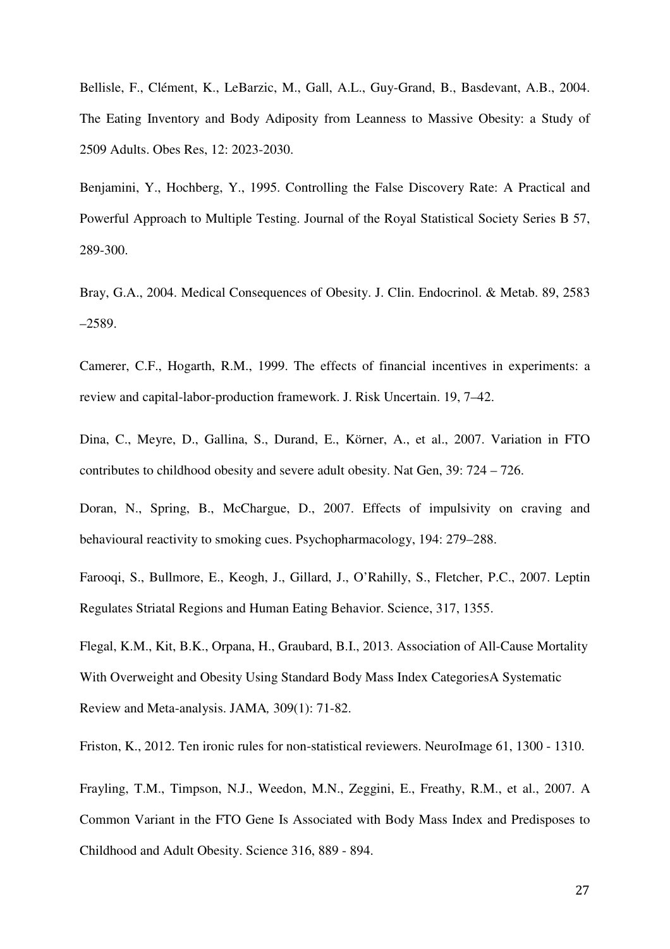Bellisle, F., Clément, K., LeBarzic, M., Gall, A.L., Guy-Grand, B., Basdevant, A.B., 2004. The Eating Inventory and Body Adiposity from Leanness to Massive Obesity: a Study of 2509 Adults. Obes Res, 12: 2023-2030.

Benjamini, Y., Hochberg, Y., 1995. Controlling the False Discovery Rate: A Practical and Powerful Approach to Multiple Testing. Journal of the Royal Statistical Society Series B 57, 289-300.

Bray, G.A., 2004. Medical Consequences of Obesity. J. Clin. Endocrinol. & Metab. 89, 2583 –2589.

Camerer, C.F., Hogarth, R.M., 1999. The effects of financial incentives in experiments: a review and capital-labor-production framework. J. Risk Uncertain. 19, 7–42.

Dina, C., Meyre, D., Gallina, S., Durand, E., Körner, A., et al., 2007. Variation in FTO contributes to childhood obesity and severe adult obesity. Nat Gen, 39: 724 – 726.

Doran, N., Spring, B., McChargue, D., 2007. Effects of impulsivity on craving and behavioural reactivity to smoking cues. Psychopharmacology, 194: 279–288.

Farooqi, S., Bullmore, E., Keogh, J., Gillard, J., O'Rahilly, S., Fletcher, P.C., 2007. Leptin Regulates Striatal Regions and Human Eating Behavior. Science, 317, 1355.

Flegal, K.M., Kit, B.K., Orpana, H., Graubard, B.I., 2013. Association of All-Cause Mortality With Overweight and Obesity Using Standard Body Mass Index CategoriesA Systematic Review and Meta-analysis. JAMA*,* 309(1): 71-82.

Friston, K., 2012. Ten ironic rules for non-statistical reviewers. NeuroImage 61, 1300 - 1310.

Frayling, T.M., Timpson, N.J., Weedon, M.N., Zeggini, E., Freathy, R.M., et al., 2007. A Common Variant in the FTO Gene Is Associated with Body Mass Index and Predisposes to Childhood and Adult Obesity. Science 316, 889 - 894.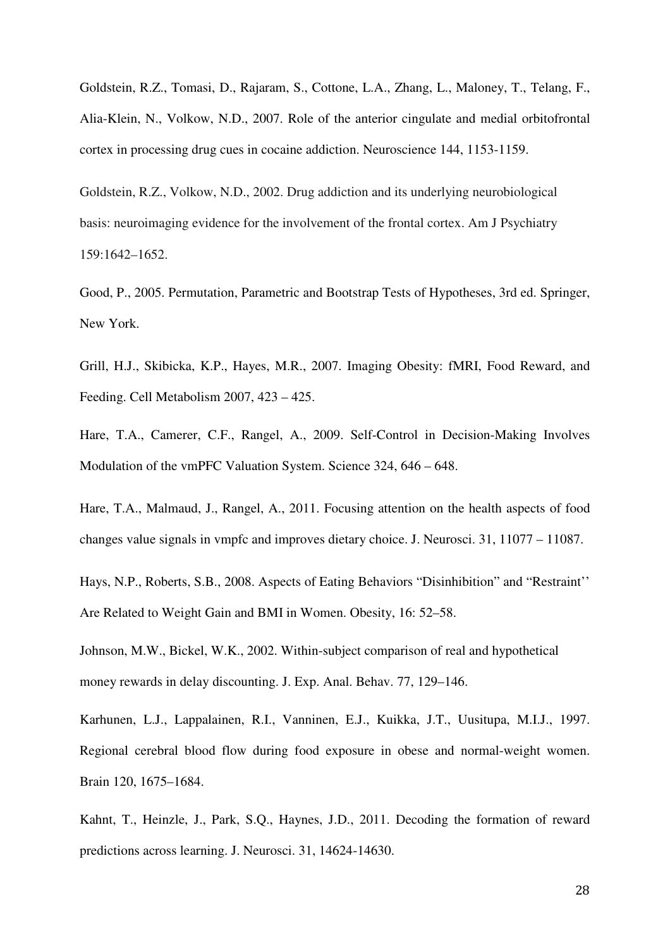Goldstein, R.Z., Tomasi, D., Rajaram, S., Cottone, L.A., Zhang, L., Maloney, T., Telang, F., Alia-Klein, N., Volkow, N.D., 2007. Role of the anterior cingulate and medial orbitofrontal cortex in processing drug cues in cocaine addiction. Neuroscience 144, 1153-1159.

Goldstein, R.Z., Volkow, N.D., 2002. Drug addiction and its underlying neurobiological basis: neuroimaging evidence for the involvement of the frontal cortex. Am J Psychiatry 159:1642–1652.

Good, P., 2005. Permutation, Parametric and Bootstrap Tests of Hypotheses, 3rd ed. Springer, New York.

Grill, H.J., Skibicka, K.P., Hayes, M.R., 2007. Imaging Obesity: fMRI, Food Reward, and Feeding. Cell Metabolism 2007, 423 – 425.

Hare, T.A., Camerer, C.F., Rangel, A., 2009. Self-Control in Decision-Making Involves Modulation of the vmPFC Valuation System. Science 324, 646 – 648.

Hare, T.A., Malmaud, J., Rangel, A., 2011. Focusing attention on the health aspects of food changes value signals in vmpfc and improves dietary choice. J. Neurosci. 31, 11077 – 11087.

Hays, N.P., Roberts, S.B., 2008. Aspects of Eating Behaviors "Disinhibition" and "Restraint'' Are Related to Weight Gain and BMI in Women. Obesity, 16: 52–58.

Johnson, M.W., Bickel, W.K., 2002. Within-subject comparison of real and hypothetical money rewards in delay discounting. J. Exp. Anal. Behav. 77, 129–146.

Karhunen, L.J., Lappalainen, R.I., Vanninen, E.J., Kuikka, J.T., Uusitupa, M.I.J., 1997. Regional cerebral blood flow during food exposure in obese and normal-weight women. Brain 120, 1675–1684.

Kahnt, T., Heinzle, J., Park, S.Q., Haynes, J.D., 2011. Decoding the formation of reward predictions across learning. J. Neurosci. 31, 14624-14630.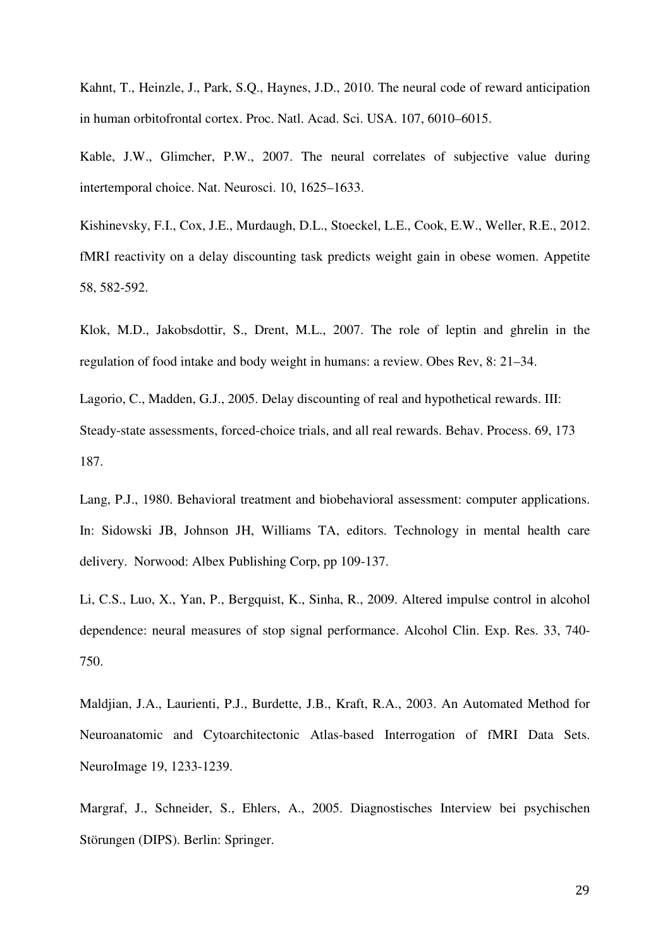Kahnt, T., Heinzle, J., Park, S.Q., Haynes, J.D., 2010. The neural code of reward anticipation in human orbitofrontal cortex. Proc. Natl. Acad. Sci. USA. 107, 6010–6015.

Kable, J.W., Glimcher, P.W., 2007. The neural correlates of subjective value during intertemporal choice. Nat. Neurosci. 10, 1625–1633.

Kishinevsky, F.I., Cox, J.E., Murdaugh, D.L., Stoeckel, L.E., Cook, E.W., Weller, R.E., 2012. fMRI reactivity on a delay discounting task predicts weight gain in obese women. Appetite 58, 582-592.

Klok, M.D., Jakobsdottir, S., Drent, M.L., 2007. The role of leptin and ghrelin in the regulation of food intake and body weight in humans: a review. Obes Rev, 8: 21–34.

Lagorio, C., Madden, G.J., 2005. Delay discounting of real and hypothetical rewards. III: Steady-state assessments, forced-choice trials, and all real rewards. Behav. Process. 69, 173 187.

Lang, P.J., 1980. Behavioral treatment and biobehavioral assessment: computer applications. In: Sidowski JB, Johnson JH, Williams TA, editors. Technology in mental health care delivery. Norwood: Albex Publishing Corp, pp 109-137.

Li, C.S., Luo, X., Yan, P., Bergquist, K., Sinha, R., 2009. Altered impulse control in alcohol dependence: neural measures of stop signal performance. Alcohol Clin. Exp. Res. 33, 740- 750.

Maldjian, J.A., Laurienti, P.J., Burdette, J.B., Kraft, R.A., 2003. An Automated Method for Neuroanatomic and Cytoarchitectonic Atlas-based Interrogation of fMRI Data Sets. NeuroImage 19, 1233-1239.

Margraf, J., Schneider, S., Ehlers, A., 2005. Diagnostisches Interview bei psychischen Störungen (DIPS). Berlin: Springer.

29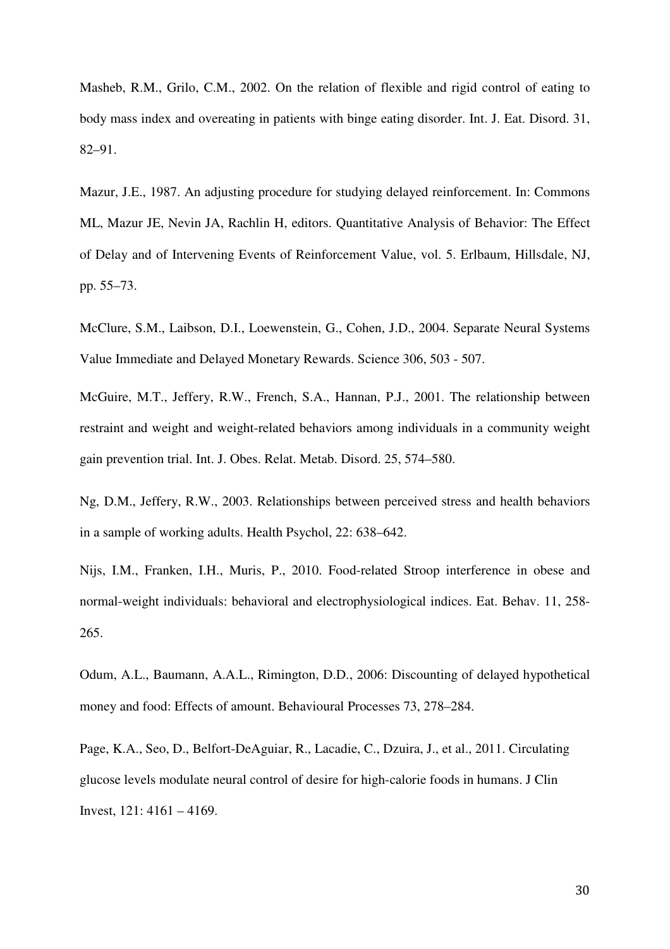Masheb, R.M., Grilo, C.M., 2002. On the relation of flexible and rigid control of eating to body mass index and overeating in patients with binge eating disorder. Int. J. Eat. Disord. 31, 82–91.

Mazur, J.E., 1987. An adjusting procedure for studying delayed reinforcement. In: Commons ML, Mazur JE, Nevin JA, Rachlin H, editors. Quantitative Analysis of Behavior: The Effect of Delay and of Intervening Events of Reinforcement Value, vol. 5. Erlbaum, Hillsdale, NJ, pp. 55–73.

McClure, S.M., Laibson, D.I., Loewenstein, G., Cohen, J.D., 2004. Separate Neural Systems Value Immediate and Delayed Monetary Rewards. Science 306, 503 - 507.

McGuire, M.T., Jeffery, R.W., French, S.A., Hannan, P.J., 2001. The relationship between restraint and weight and weight-related behaviors among individuals in a community weight gain prevention trial. Int. J. Obes. Relat. Metab. Disord. 25, 574–580.

Ng, D.M., Jeffery, R.W., 2003. Relationships between perceived stress and health behaviors in a sample of working adults. Health Psychol, 22: 638–642.

Nijs, I.M., Franken, I.H., Muris, P., 2010. Food-related Stroop interference in obese and normal-weight individuals: behavioral and electrophysiological indices. Eat. Behav. 11, 258- 265.

Odum, A.L., Baumann, A.A.L., Rimington, D.D., 2006: Discounting of delayed hypothetical money and food: Effects of amount. Behavioural Processes 73, 278–284.

Page, K.A., Seo, D., Belfort-DeAguiar, R., Lacadie, C., Dzuira, J., et al., 2011. Circulating glucose levels modulate neural control of desire for high-calorie foods in humans. J Clin Invest, 121: 4161 – 4169.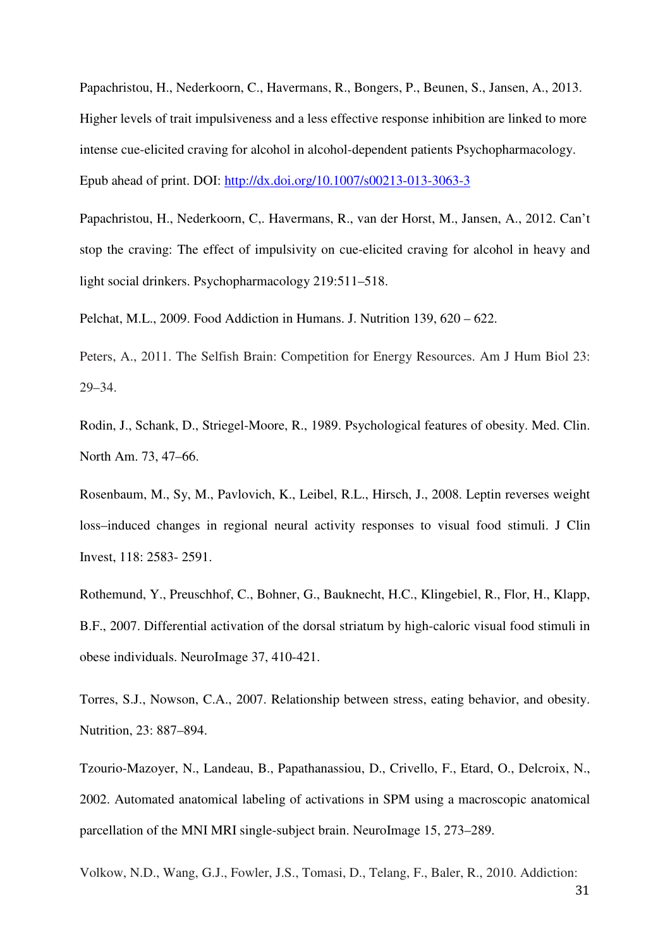Papachristou, H., Nederkoorn, C., Havermans, R., Bongers, P., Beunen, S., Jansen, A., 2013. Higher levels of trait impulsiveness and a less effective response inhibition are linked to more intense cue-elicited craving for alcohol in alcohol-dependent patients Psychopharmacology. Epub ahead of print. DOI: http://dx.doi.org/10.1007/s00213-013-3063-3

Papachristou, H., Nederkoorn, C,. Havermans, R., van der Horst, M., Jansen, A., 2012. Can't stop the craving: The effect of impulsivity on cue-elicited craving for alcohol in heavy and light social drinkers. Psychopharmacology 219:511–518.

Pelchat, M.L., 2009. Food Addiction in Humans. J. Nutrition 139, 620 – 622.

Peters, A., 2011. The Selfish Brain: Competition for Energy Resources. Am J Hum Biol 23: 29–34.

Rodin, J., Schank, D., Striegel-Moore, R., 1989. Psychological features of obesity. Med. Clin. North Am. 73, 47–66.

Rosenbaum, M., Sy, M., Pavlovich, K., Leibel, R.L., Hirsch, J., 2008. Leptin reverses weight loss–induced changes in regional neural activity responses to visual food stimuli. J Clin Invest, 118: 2583- 2591.

Rothemund, Y., Preuschhof, C., Bohner, G., Bauknecht, H.C., Klingebiel, R., Flor, H., Klapp, B.F., 2007. Differential activation of the dorsal striatum by high-caloric visual food stimuli in obese individuals. NeuroImage 37, 410-421.

Torres, S.J., Nowson, C.A., 2007. Relationship between stress, eating behavior, and obesity. Nutrition, 23: 887–894.

Tzourio-Mazoyer, N., Landeau, B., Papathanassiou, D., Crivello, F., Etard, O., Delcroix, N., 2002. Automated anatomical labeling of activations in SPM using a macroscopic anatomical parcellation of the MNI MRI single-subject brain. NeuroImage 15, 273–289.

Volkow, N.D., Wang, G.J., Fowler, J.S., Tomasi, D., Telang, F., Baler, R., 2010. Addiction: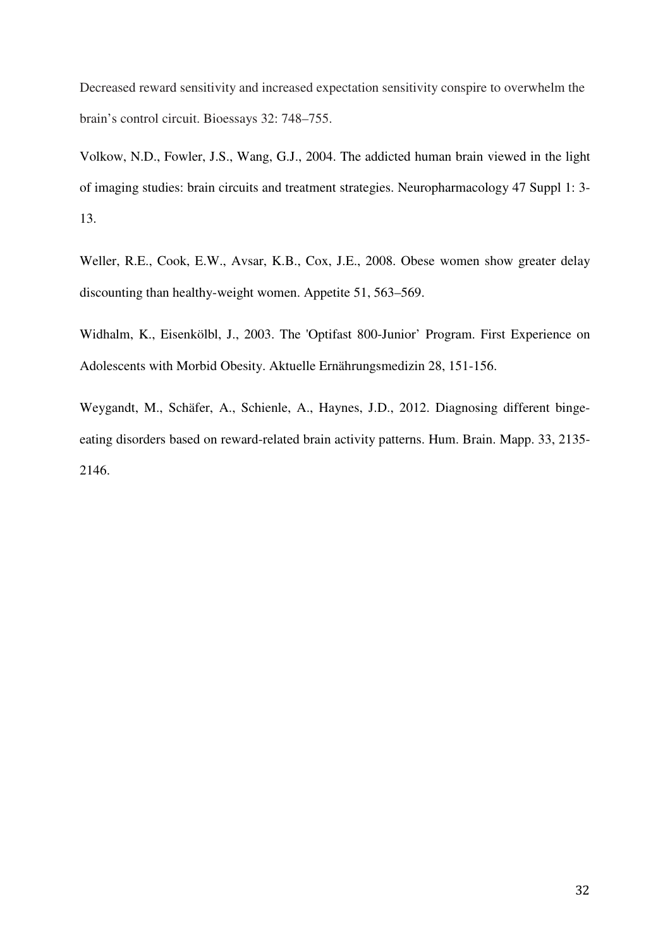Decreased reward sensitivity and increased expectation sensitivity conspire to overwhelm the brain's control circuit. Bioessays 32: 748–755.

Volkow, N.D., Fowler, J.S., Wang, G.J., 2004. The addicted human brain viewed in the light of imaging studies: brain circuits and treatment strategies. Neuropharmacology 47 Suppl 1: 3- 13.

Weller, R.E., Cook, E.W., Avsar, K.B., Cox, J.E., 2008. Obese women show greater delay discounting than healthy-weight women. Appetite 51, 563–569.

Widhalm, K., Eisenkölbl, J., 2003. The 'Optifast 800-Junior' Program. First Experience on Adolescents with Morbid Obesity. Aktuelle Ernährungsmedizin 28, 151-156.

Weygandt, M., Schäfer, A., Schienle, A., Haynes, J.D., 2012. Diagnosing different bingeeating disorders based on reward-related brain activity patterns. Hum. Brain. Mapp. 33, 2135- 2146.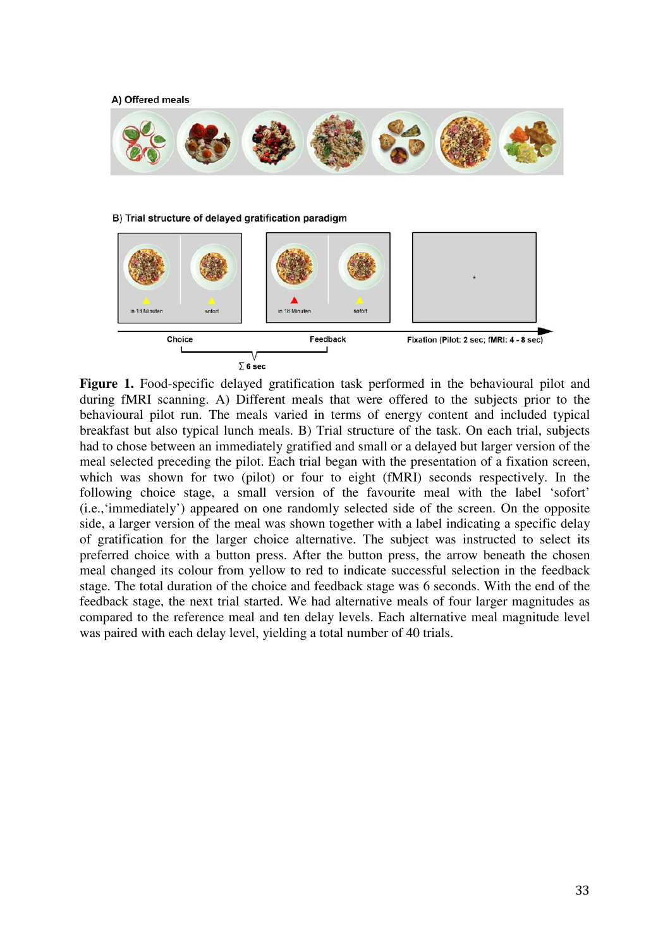A) Offered meals



B) Trial structure of delayed gratification paradigm





Figure 1. Food-specific delayed gratification task performed in the behavioural pilot and during fMRI scanning. A) Different meals that were offered to the subjects prior to the behavioural pilot run. The meals varied in terms of energy content and included typical breakfast but also typical lunch meals. B) Trial structure of the task. On each trial, subjects had to chose between an immediately gratified and small or a delayed but larger version of the meal selected preceding the pilot. Each trial began with the presentation of a fixation screen, which was shown for two (pilot) or four to eight (fMRI) seconds respectively. In the following choice stage, a small version of the favourite meal with the label 'sofort' (i.e.,'immediately') appeared on one randomly selected side of the screen. On the opposite side, a larger version of the meal was shown together with a label indicating a specific delay of gratification for the larger choice alternative. The subject was instructed to select its preferred choice with a button press. After the button press, the arrow beneath the chosen meal changed its colour from yellow to red to indicate successful selection in the feedback stage. The total duration of the choice and feedback stage was 6 seconds. With the end of the feedback stage, the next trial started. We had alternative meals of four larger magnitudes as compared to the reference meal and ten delay levels. Each alternative meal magnitude level was paired with each delay level, yielding a total number of 40 trials.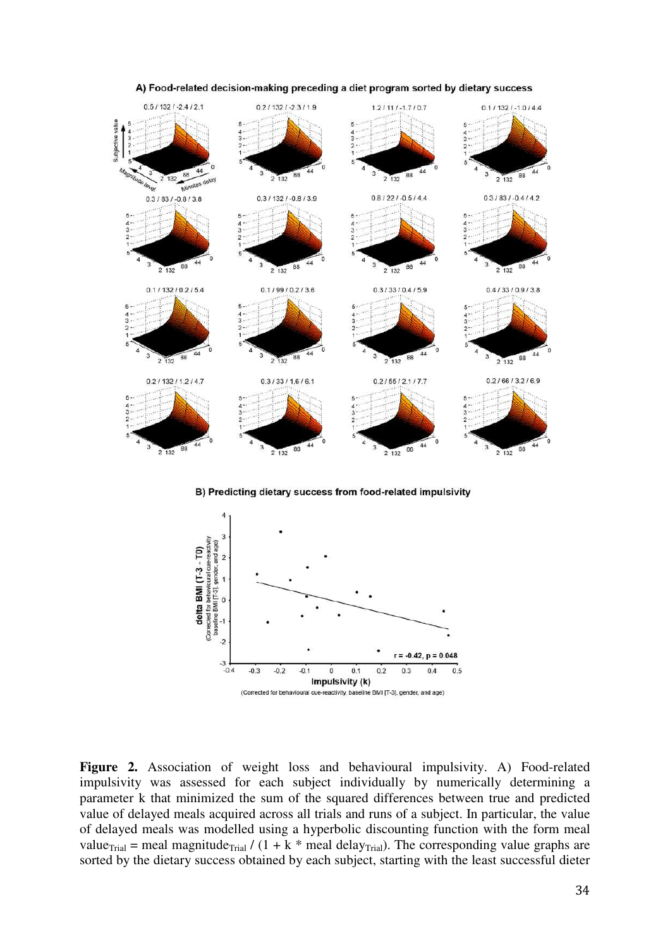

A) Food-related decision-making preceding a diet program sorted by dietary success

B) Predicting dietary success from food-related impulsivity



Figure 2. Association of weight loss and behavioural impulsivity. A) Food-related impulsivity was assessed for each subject individually by numerically determining a parameter k that minimized the sum of the squared differences between true and predicted value of delayed meals acquired across all trials and runs of a subject. In particular, the value of delayed meals was modelled using a hyperbolic discounting function with the form meal value<sub>Trial</sub> = meal magnitude<sub>Trial</sub> /  $(1 + k *$  meal delay<sub>Trial</sub>). The corresponding value graphs are sorted by the dietary success obtained by each subject, starting with the least successful dieter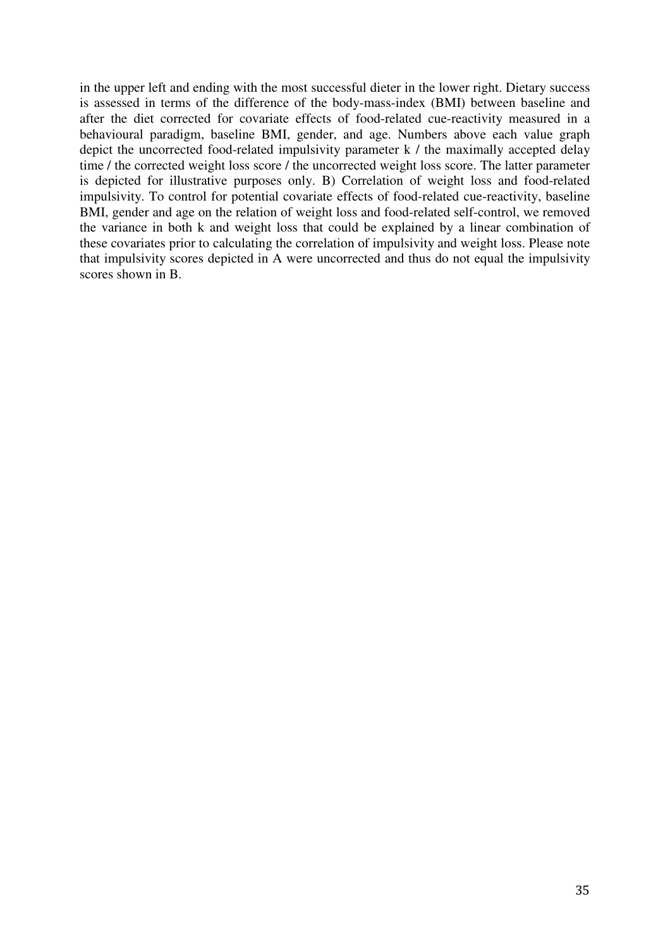in the upper left and ending with the most successful dieter in the lower right. Dietary success is assessed in terms of the difference of the body-mass-index (BMI) between baseline and after the diet corrected for covariate effects of food-related cue-reactivity measured in a behavioural paradigm, baseline BMI, gender, and age. Numbers above each value graph depict the uncorrected food-related impulsivity parameter k / the maximally accepted delay time / the corrected weight loss score / the uncorrected weight loss score. The latter parameter is depicted for illustrative purposes only. B) Correlation of weight loss and food-related impulsivity. To control for potential covariate effects of food-related cue-reactivity, baseline BMI, gender and age on the relation of weight loss and food-related self-control, we removed the variance in both k and weight loss that could be explained by a linear combination of these covariates prior to calculating the correlation of impulsivity and weight loss. Please note that impulsivity scores depicted in A were uncorrected and thus do not equal the impulsivity scores shown in B.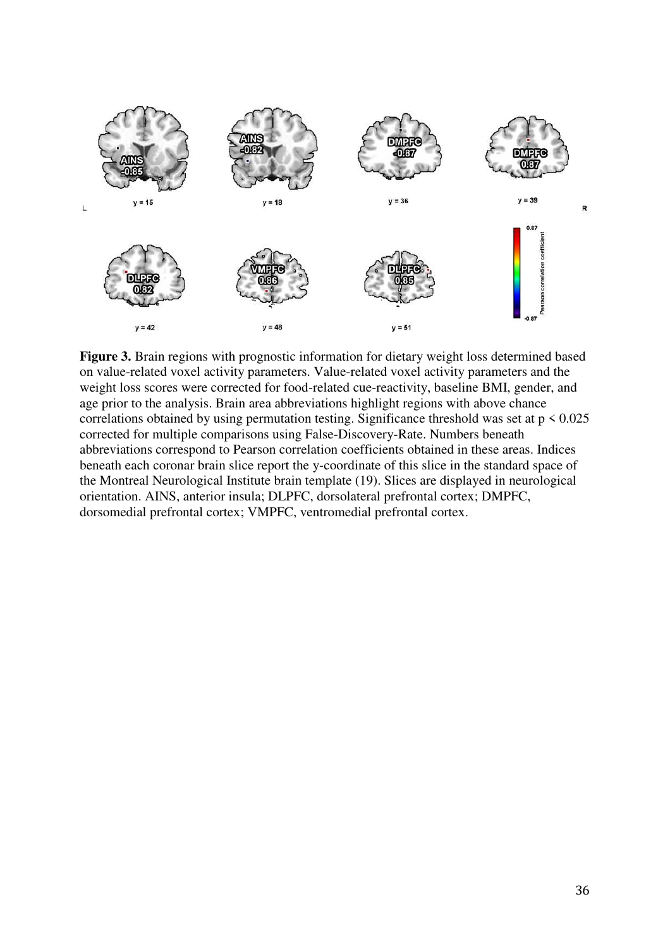

**Figure 3.** Brain regions with prognostic information for dietary weight loss determined based on value-related voxel activity parameters. Value-related voxel activity parameters and the weight loss scores were corrected for food-related cue-reactivity, baseline BMI, gender, and age prior to the analysis. Brain area abbreviations highlight regions with above chance correlations obtained by using permutation testing. Significance threshold was set at  $p < 0.025$ corrected for multiple comparisons using False-Discovery-Rate. Numbers beneath abbreviations correspond to Pearson correlation coefficients obtained in these areas. Indices beneath each coronar brain slice report the y-coordinate of this slice in the standard space of the Montreal Neurological Institute brain template (19). Slices are displayed in neurological orientation. AINS, anterior insula; DLPFC, dorsolateral prefrontal cortex; DMPFC, dorsomedial prefrontal cortex; VMPFC, ventromedial prefrontal cortex.